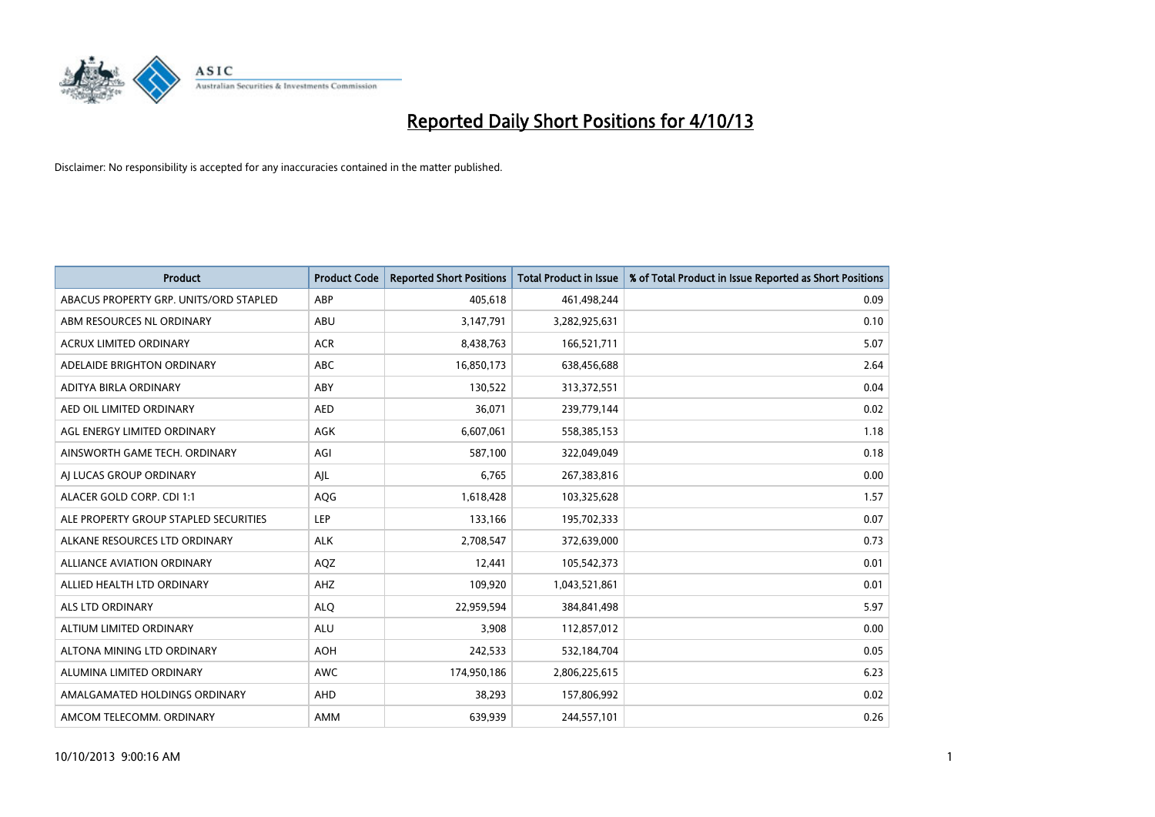

| <b>Product</b>                         | <b>Product Code</b> | <b>Reported Short Positions</b> | <b>Total Product in Issue</b> | % of Total Product in Issue Reported as Short Positions |
|----------------------------------------|---------------------|---------------------------------|-------------------------------|---------------------------------------------------------|
| ABACUS PROPERTY GRP. UNITS/ORD STAPLED | ABP                 | 405,618                         | 461,498,244                   | 0.09                                                    |
| ABM RESOURCES NL ORDINARY              | ABU                 | 3,147,791                       | 3,282,925,631                 | 0.10                                                    |
| <b>ACRUX LIMITED ORDINARY</b>          | <b>ACR</b>          | 8,438,763                       | 166,521,711                   | 5.07                                                    |
| ADELAIDE BRIGHTON ORDINARY             | <b>ABC</b>          | 16,850,173                      | 638,456,688                   | 2.64                                                    |
| ADITYA BIRLA ORDINARY                  | ABY                 | 130,522                         | 313,372,551                   | 0.04                                                    |
| AED OIL LIMITED ORDINARY               | <b>AED</b>          | 36,071                          | 239,779,144                   | 0.02                                                    |
| AGL ENERGY LIMITED ORDINARY            | AGK                 | 6,607,061                       | 558,385,153                   | 1.18                                                    |
| AINSWORTH GAME TECH. ORDINARY          | AGI                 | 587,100                         | 322,049,049                   | 0.18                                                    |
| AI LUCAS GROUP ORDINARY                | AJL                 | 6,765                           | 267,383,816                   | 0.00                                                    |
| ALACER GOLD CORP. CDI 1:1              | <b>AQG</b>          | 1,618,428                       | 103,325,628                   | 1.57                                                    |
| ALE PROPERTY GROUP STAPLED SECURITIES  | <b>LEP</b>          | 133,166                         | 195,702,333                   | 0.07                                                    |
| ALKANE RESOURCES LTD ORDINARY          | <b>ALK</b>          | 2,708,547                       | 372,639,000                   | 0.73                                                    |
| <b>ALLIANCE AVIATION ORDINARY</b>      | AQZ                 | 12,441                          | 105,542,373                   | 0.01                                                    |
| ALLIED HEALTH LTD ORDINARY             | AHZ                 | 109,920                         | 1,043,521,861                 | 0.01                                                    |
| ALS LTD ORDINARY                       | <b>ALQ</b>          | 22,959,594                      | 384,841,498                   | 5.97                                                    |
| ALTIUM LIMITED ORDINARY                | <b>ALU</b>          | 3,908                           | 112,857,012                   | 0.00                                                    |
| ALTONA MINING LTD ORDINARY             | <b>AOH</b>          | 242,533                         | 532,184,704                   | 0.05                                                    |
| ALUMINA LIMITED ORDINARY               | <b>AWC</b>          | 174,950,186                     | 2,806,225,615                 | 6.23                                                    |
| AMALGAMATED HOLDINGS ORDINARY          | AHD                 | 38,293                          | 157,806,992                   | 0.02                                                    |
| AMCOM TELECOMM. ORDINARY               | AMM                 | 639,939                         | 244,557,101                   | 0.26                                                    |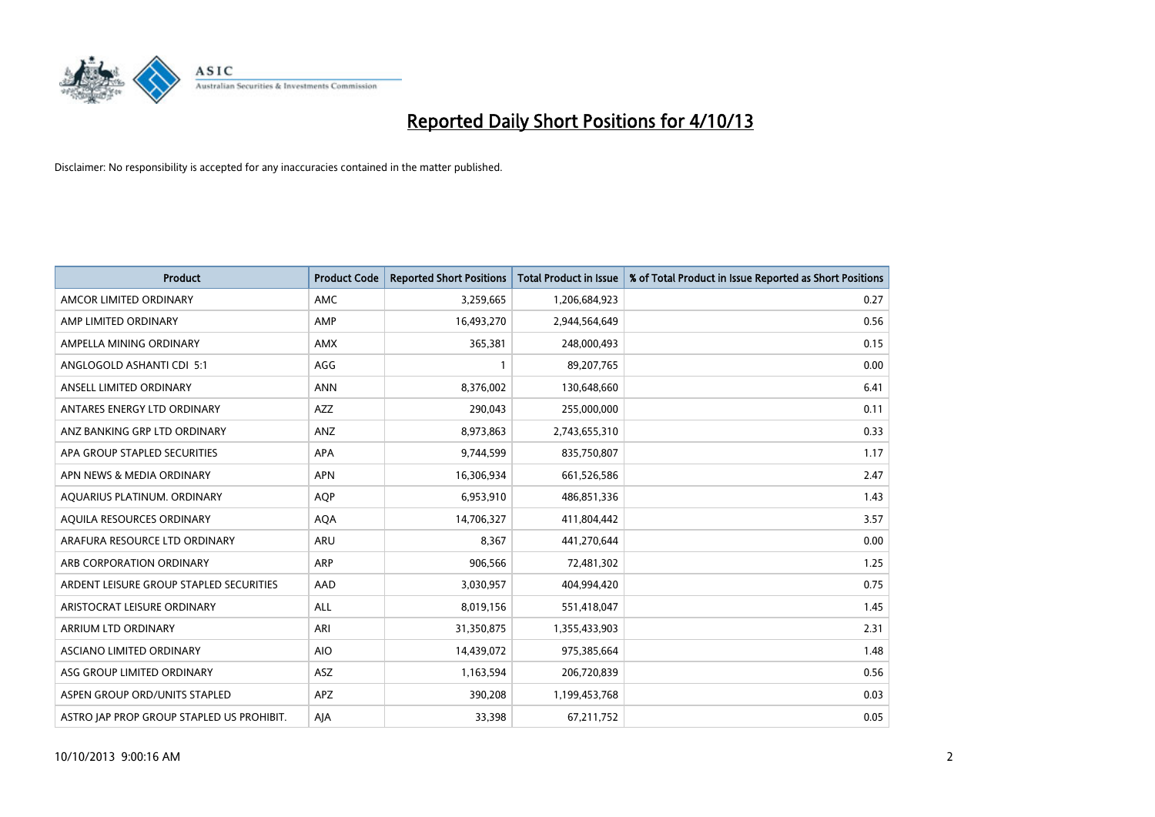

| <b>Product</b>                            | <b>Product Code</b> | <b>Reported Short Positions</b> | <b>Total Product in Issue</b> | % of Total Product in Issue Reported as Short Positions |
|-------------------------------------------|---------------------|---------------------------------|-------------------------------|---------------------------------------------------------|
| AMCOR LIMITED ORDINARY                    | AMC                 | 3,259,665                       | 1,206,684,923                 | 0.27                                                    |
| AMP LIMITED ORDINARY                      | AMP                 | 16,493,270                      | 2,944,564,649                 | 0.56                                                    |
| AMPELLA MINING ORDINARY                   | AMX                 | 365,381                         | 248,000,493                   | 0.15                                                    |
| ANGLOGOLD ASHANTI CDI 5:1                 | AGG                 | $\mathbf{1}$                    | 89,207,765                    | 0.00                                                    |
| ANSELL LIMITED ORDINARY                   | <b>ANN</b>          | 8,376,002                       | 130,648,660                   | 6.41                                                    |
| ANTARES ENERGY LTD ORDINARY               | AZZ                 | 290,043                         | 255,000,000                   | 0.11                                                    |
| ANZ BANKING GRP LTD ORDINARY              | ANZ                 | 8,973,863                       | 2,743,655,310                 | 0.33                                                    |
| APA GROUP STAPLED SECURITIES              | <b>APA</b>          | 9,744,599                       | 835,750,807                   | 1.17                                                    |
| APN NEWS & MEDIA ORDINARY                 | <b>APN</b>          | 16,306,934                      | 661,526,586                   | 2.47                                                    |
| AOUARIUS PLATINUM. ORDINARY               | <b>AOP</b>          | 6,953,910                       | 486,851,336                   | 1.43                                                    |
| AQUILA RESOURCES ORDINARY                 | <b>AQA</b>          | 14,706,327                      | 411,804,442                   | 3.57                                                    |
| ARAFURA RESOURCE LTD ORDINARY             | ARU                 | 8,367                           | 441,270,644                   | 0.00                                                    |
| ARB CORPORATION ORDINARY                  | ARP                 | 906,566                         | 72,481,302                    | 1.25                                                    |
| ARDENT LEISURE GROUP STAPLED SECURITIES   | AAD                 | 3,030,957                       | 404,994,420                   | 0.75                                                    |
| ARISTOCRAT LEISURE ORDINARY               | ALL                 | 8,019,156                       | 551,418,047                   | 1.45                                                    |
| ARRIUM LTD ORDINARY                       | ARI                 | 31,350,875                      | 1,355,433,903                 | 2.31                                                    |
| ASCIANO LIMITED ORDINARY                  | <b>AIO</b>          | 14,439,072                      | 975,385,664                   | 1.48                                                    |
| ASG GROUP LIMITED ORDINARY                | ASZ                 | 1,163,594                       | 206,720,839                   | 0.56                                                    |
| ASPEN GROUP ORD/UNITS STAPLED             | APZ                 | 390,208                         | 1,199,453,768                 | 0.03                                                    |
| ASTRO JAP PROP GROUP STAPLED US PROHIBIT. | AJA                 | 33,398                          | 67,211,752                    | 0.05                                                    |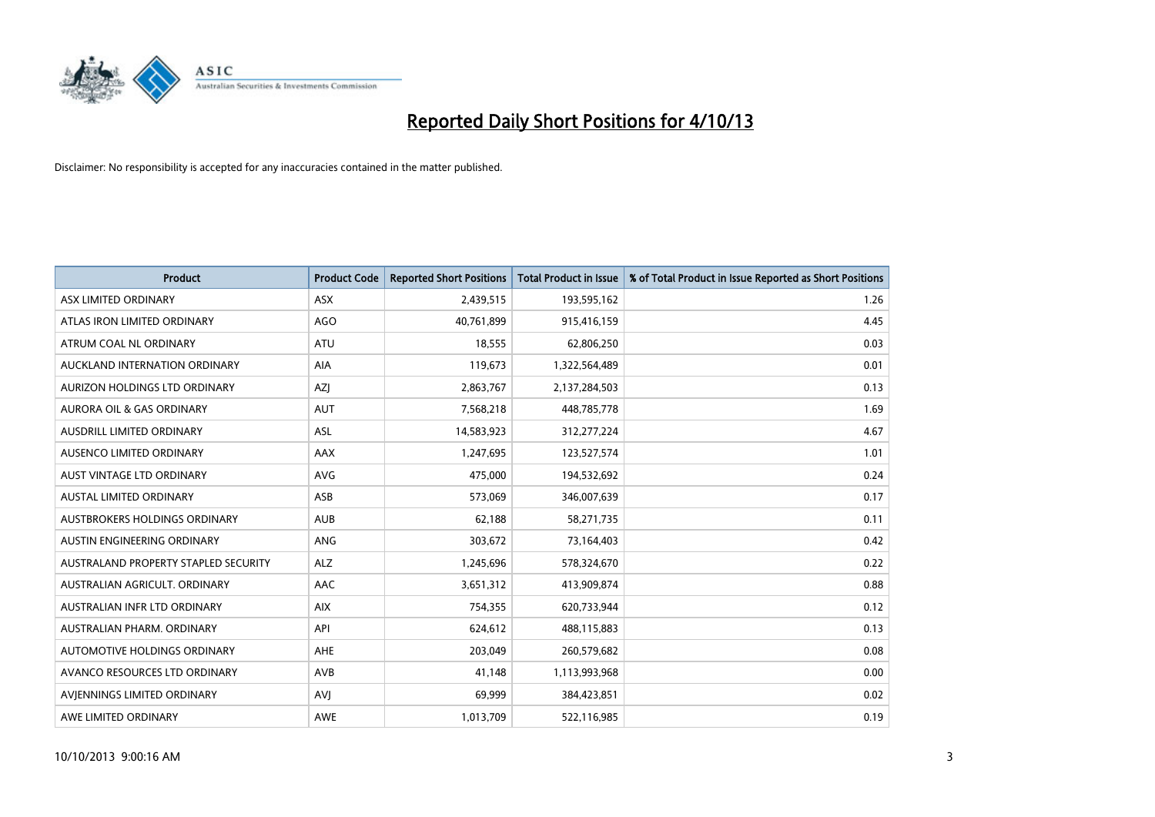

| <b>Product</b>                       | <b>Product Code</b> | <b>Reported Short Positions</b> | <b>Total Product in Issue</b> | % of Total Product in Issue Reported as Short Positions |
|--------------------------------------|---------------------|---------------------------------|-------------------------------|---------------------------------------------------------|
| ASX LIMITED ORDINARY                 | <b>ASX</b>          | 2,439,515                       | 193,595,162                   | 1.26                                                    |
| ATLAS IRON LIMITED ORDINARY          | <b>AGO</b>          | 40,761,899                      | 915,416,159                   | 4.45                                                    |
| ATRUM COAL NL ORDINARY               | <b>ATU</b>          | 18,555                          | 62,806,250                    | 0.03                                                    |
| AUCKLAND INTERNATION ORDINARY        | AIA                 | 119,673                         | 1,322,564,489                 | 0.01                                                    |
| AURIZON HOLDINGS LTD ORDINARY        | <b>AZI</b>          | 2,863,767                       | 2,137,284,503                 | 0.13                                                    |
| <b>AURORA OIL &amp; GAS ORDINARY</b> | <b>AUT</b>          | 7,568,218                       | 448,785,778                   | 1.69                                                    |
| <b>AUSDRILL LIMITED ORDINARY</b>     | <b>ASL</b>          | 14,583,923                      | 312,277,224                   | 4.67                                                    |
| AUSENCO LIMITED ORDINARY             | AAX                 | 1,247,695                       | 123,527,574                   | 1.01                                                    |
| AUST VINTAGE LTD ORDINARY            | <b>AVG</b>          | 475,000                         | 194,532,692                   | 0.24                                                    |
| <b>AUSTAL LIMITED ORDINARY</b>       | ASB                 | 573,069                         | 346,007,639                   | 0.17                                                    |
| AUSTBROKERS HOLDINGS ORDINARY        | <b>AUB</b>          | 62,188                          | 58,271,735                    | 0.11                                                    |
| AUSTIN ENGINEERING ORDINARY          | <b>ANG</b>          | 303,672                         | 73,164,403                    | 0.42                                                    |
| AUSTRALAND PROPERTY STAPLED SECURITY | <b>ALZ</b>          | 1,245,696                       | 578,324,670                   | 0.22                                                    |
| AUSTRALIAN AGRICULT, ORDINARY        | AAC                 | 3,651,312                       | 413,909,874                   | 0.88                                                    |
| AUSTRALIAN INFR LTD ORDINARY         | <b>AIX</b>          | 754,355                         | 620,733,944                   | 0.12                                                    |
| AUSTRALIAN PHARM. ORDINARY           | API                 | 624,612                         | 488,115,883                   | 0.13                                                    |
| AUTOMOTIVE HOLDINGS ORDINARY         | AHE                 | 203,049                         | 260,579,682                   | 0.08                                                    |
| AVANCO RESOURCES LTD ORDINARY        | AVB                 | 41,148                          | 1,113,993,968                 | 0.00                                                    |
| AVIENNINGS LIMITED ORDINARY          | <b>AVI</b>          | 69,999                          | 384,423,851                   | 0.02                                                    |
| AWE LIMITED ORDINARY                 | AWE                 | 1,013,709                       | 522,116,985                   | 0.19                                                    |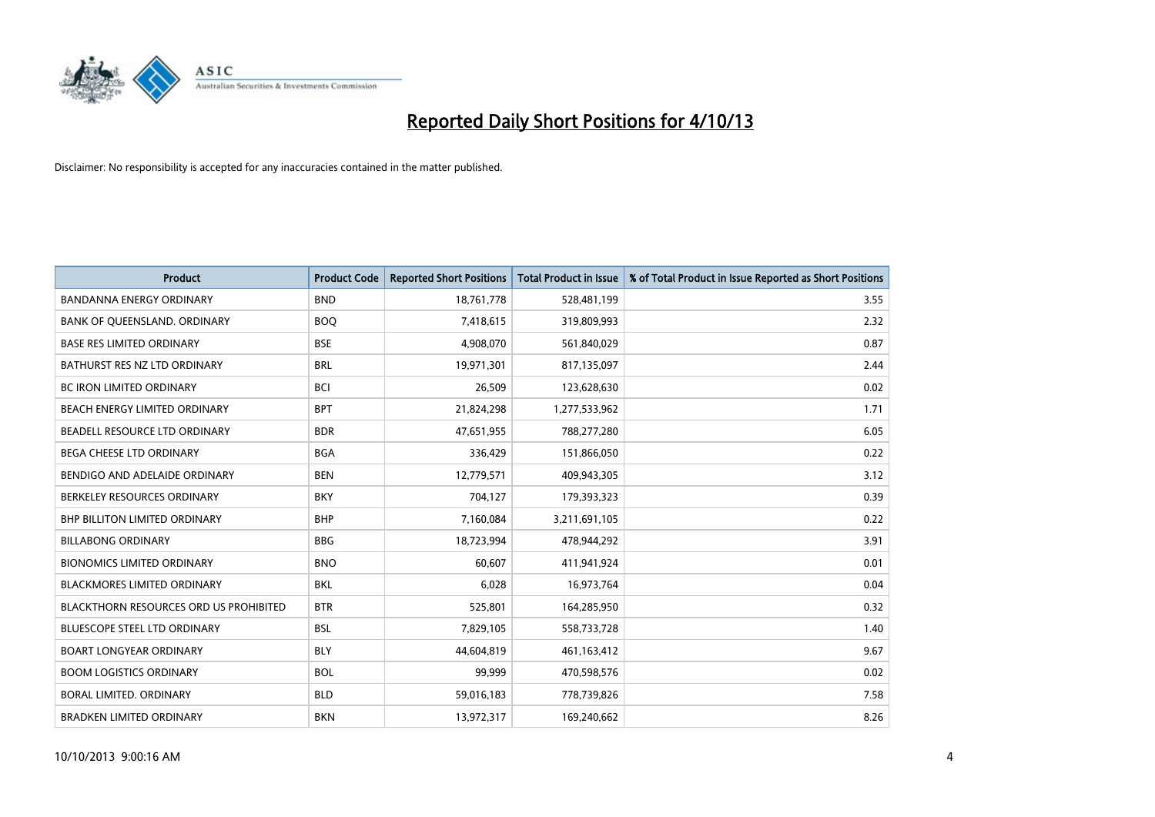

| <b>Product</b>                                | <b>Product Code</b> | <b>Reported Short Positions</b> | <b>Total Product in Issue</b> | % of Total Product in Issue Reported as Short Positions |
|-----------------------------------------------|---------------------|---------------------------------|-------------------------------|---------------------------------------------------------|
| <b>BANDANNA ENERGY ORDINARY</b>               | <b>BND</b>          | 18,761,778                      | 528,481,199                   | 3.55                                                    |
| BANK OF QUEENSLAND. ORDINARY                  | <b>BOO</b>          | 7,418,615                       | 319,809,993                   | 2.32                                                    |
| <b>BASE RES LIMITED ORDINARY</b>              | <b>BSE</b>          | 4,908,070                       | 561,840,029                   | 0.87                                                    |
| BATHURST RES NZ LTD ORDINARY                  | <b>BRL</b>          | 19,971,301                      | 817,135,097                   | 2.44                                                    |
| BC IRON LIMITED ORDINARY                      | <b>BCI</b>          | 26,509                          | 123,628,630                   | 0.02                                                    |
| BEACH ENERGY LIMITED ORDINARY                 | <b>BPT</b>          | 21,824,298                      | 1,277,533,962                 | 1.71                                                    |
| BEADELL RESOURCE LTD ORDINARY                 | <b>BDR</b>          | 47,651,955                      | 788,277,280                   | 6.05                                                    |
| BEGA CHEESE LTD ORDINARY                      | <b>BGA</b>          | 336,429                         | 151,866,050                   | 0.22                                                    |
| BENDIGO AND ADELAIDE ORDINARY                 | <b>BEN</b>          | 12,779,571                      | 409,943,305                   | 3.12                                                    |
| BERKELEY RESOURCES ORDINARY                   | <b>BKY</b>          | 704,127                         | 179,393,323                   | 0.39                                                    |
| BHP BILLITON LIMITED ORDINARY                 | <b>BHP</b>          | 7,160,084                       | 3,211,691,105                 | 0.22                                                    |
| <b>BILLABONG ORDINARY</b>                     | <b>BBG</b>          | 18,723,994                      | 478,944,292                   | 3.91                                                    |
| <b>BIONOMICS LIMITED ORDINARY</b>             | <b>BNO</b>          | 60,607                          | 411,941,924                   | 0.01                                                    |
| <b>BLACKMORES LIMITED ORDINARY</b>            | BKL                 | 6,028                           | 16,973,764                    | 0.04                                                    |
| <b>BLACKTHORN RESOURCES ORD US PROHIBITED</b> | <b>BTR</b>          | 525,801                         | 164,285,950                   | 0.32                                                    |
| BLUESCOPE STEEL LTD ORDINARY                  | <b>BSL</b>          | 7,829,105                       | 558,733,728                   | 1.40                                                    |
| <b>BOART LONGYEAR ORDINARY</b>                | <b>BLY</b>          | 44,604,819                      | 461,163,412                   | 9.67                                                    |
| <b>BOOM LOGISTICS ORDINARY</b>                | <b>BOL</b>          | 99,999                          | 470,598,576                   | 0.02                                                    |
| <b>BORAL LIMITED, ORDINARY</b>                | <b>BLD</b>          | 59,016,183                      | 778,739,826                   | 7.58                                                    |
| <b>BRADKEN LIMITED ORDINARY</b>               | <b>BKN</b>          | 13,972,317                      | 169,240,662                   | 8.26                                                    |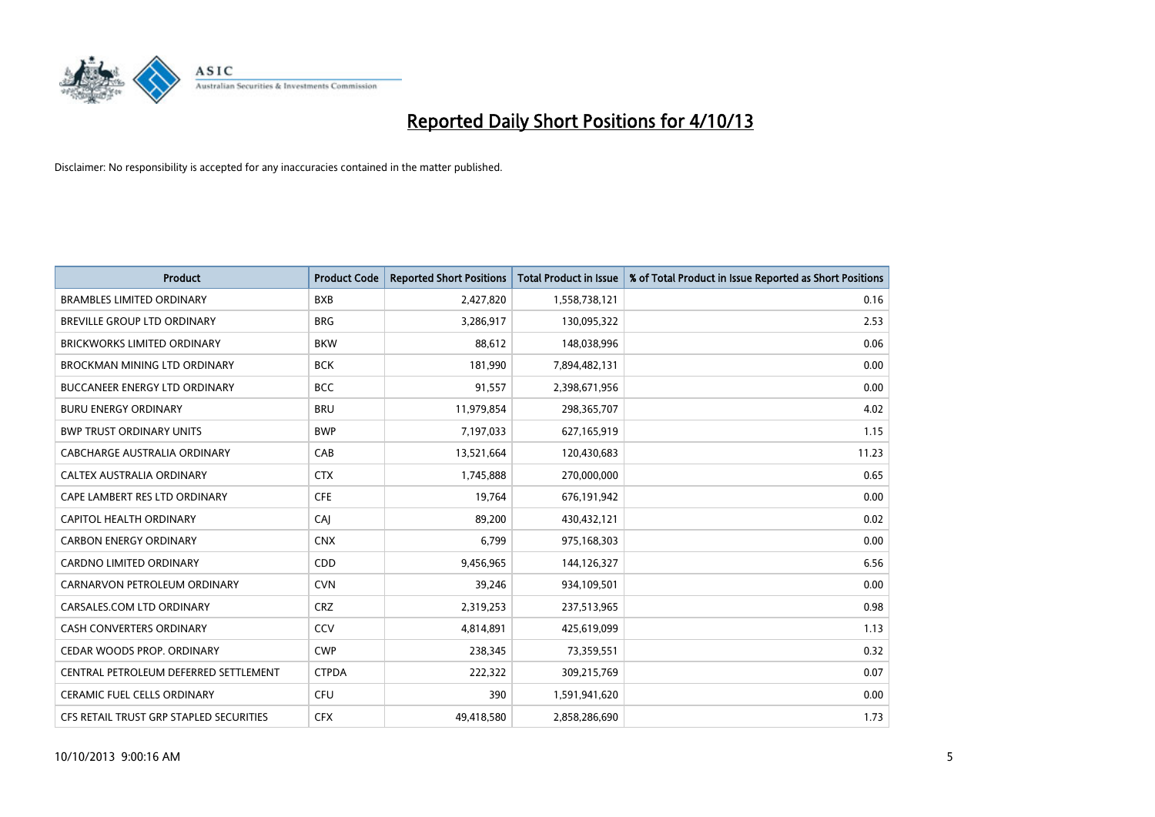

| <b>Product</b>                          | <b>Product Code</b> | <b>Reported Short Positions</b> | <b>Total Product in Issue</b> | % of Total Product in Issue Reported as Short Positions |
|-----------------------------------------|---------------------|---------------------------------|-------------------------------|---------------------------------------------------------|
| <b>BRAMBLES LIMITED ORDINARY</b>        | <b>BXB</b>          | 2,427,820                       | 1,558,738,121                 | 0.16                                                    |
| BREVILLE GROUP LTD ORDINARY             | <b>BRG</b>          | 3,286,917                       | 130,095,322                   | 2.53                                                    |
| <b>BRICKWORKS LIMITED ORDINARY</b>      | <b>BKW</b>          | 88,612                          | 148,038,996                   | 0.06                                                    |
| <b>BROCKMAN MINING LTD ORDINARY</b>     | <b>BCK</b>          | 181,990                         | 7,894,482,131                 | 0.00                                                    |
| <b>BUCCANEER ENERGY LTD ORDINARY</b>    | <b>BCC</b>          | 91,557                          | 2,398,671,956                 | 0.00                                                    |
| <b>BURU ENERGY ORDINARY</b>             | <b>BRU</b>          | 11,979,854                      | 298,365,707                   | 4.02                                                    |
| <b>BWP TRUST ORDINARY UNITS</b>         | <b>BWP</b>          | 7,197,033                       | 627,165,919                   | 1.15                                                    |
| CABCHARGE AUSTRALIA ORDINARY            | CAB                 | 13,521,664                      | 120,430,683                   | 11.23                                                   |
| CALTEX AUSTRALIA ORDINARY               | <b>CTX</b>          | 1,745,888                       | 270,000,000                   | 0.65                                                    |
| CAPE LAMBERT RES LTD ORDINARY           | <b>CFE</b>          | 19,764                          | 676,191,942                   | 0.00                                                    |
| CAPITOL HEALTH ORDINARY                 | CAI                 | 89,200                          | 430,432,121                   | 0.02                                                    |
| <b>CARBON ENERGY ORDINARY</b>           | <b>CNX</b>          | 6,799                           | 975,168,303                   | 0.00                                                    |
| <b>CARDNO LIMITED ORDINARY</b>          | CDD                 | 9,456,965                       | 144,126,327                   | 6.56                                                    |
| CARNARVON PETROLEUM ORDINARY            | <b>CVN</b>          | 39,246                          | 934,109,501                   | 0.00                                                    |
| CARSALES.COM LTD ORDINARY               | <b>CRZ</b>          | 2,319,253                       | 237,513,965                   | 0.98                                                    |
| CASH CONVERTERS ORDINARY                | CCV                 | 4,814,891                       | 425,619,099                   | 1.13                                                    |
| CEDAR WOODS PROP. ORDINARY              | <b>CWP</b>          | 238,345                         | 73,359,551                    | 0.32                                                    |
| CENTRAL PETROLEUM DEFERRED SETTLEMENT   | <b>CTPDA</b>        | 222,322                         | 309,215,769                   | 0.07                                                    |
| <b>CERAMIC FUEL CELLS ORDINARY</b>      | <b>CFU</b>          | 390                             | 1,591,941,620                 | 0.00                                                    |
| CFS RETAIL TRUST GRP STAPLED SECURITIES | <b>CFX</b>          | 49,418,580                      | 2,858,286,690                 | 1.73                                                    |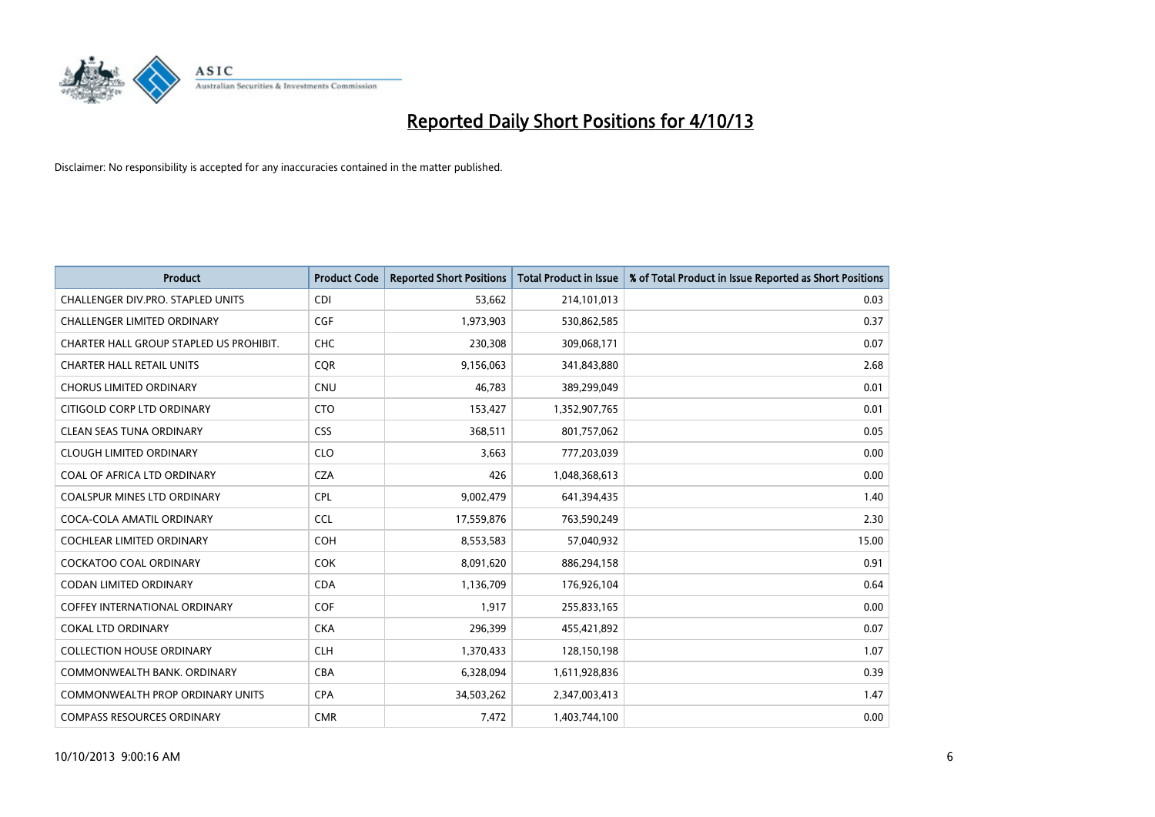

| <b>Product</b>                          | <b>Product Code</b> | <b>Reported Short Positions</b> | <b>Total Product in Issue</b> | % of Total Product in Issue Reported as Short Positions |
|-----------------------------------------|---------------------|---------------------------------|-------------------------------|---------------------------------------------------------|
| CHALLENGER DIV.PRO. STAPLED UNITS       | <b>CDI</b>          | 53,662                          | 214,101,013                   | 0.03                                                    |
| CHALLENGER LIMITED ORDINARY             | <b>CGF</b>          | 1,973,903                       | 530,862,585                   | 0.37                                                    |
| CHARTER HALL GROUP STAPLED US PROHIBIT. | <b>CHC</b>          | 230,308                         | 309,068,171                   | 0.07                                                    |
| <b>CHARTER HALL RETAIL UNITS</b>        | <b>COR</b>          | 9,156,063                       | 341,843,880                   | 2.68                                                    |
| <b>CHORUS LIMITED ORDINARY</b>          | <b>CNU</b>          | 46,783                          | 389,299,049                   | 0.01                                                    |
| CITIGOLD CORP LTD ORDINARY              | <b>CTO</b>          | 153,427                         | 1,352,907,765                 | 0.01                                                    |
| CLEAN SEAS TUNA ORDINARY                | <b>CSS</b>          | 368,511                         | 801,757,062                   | 0.05                                                    |
| <b>CLOUGH LIMITED ORDINARY</b>          | <b>CLO</b>          | 3,663                           | 777,203,039                   | 0.00                                                    |
| COAL OF AFRICA LTD ORDINARY             | <b>CZA</b>          | 426                             | 1,048,368,613                 | 0.00                                                    |
| <b>COALSPUR MINES LTD ORDINARY</b>      | <b>CPL</b>          | 9,002,479                       | 641,394,435                   | 1.40                                                    |
| COCA-COLA AMATIL ORDINARY               | <b>CCL</b>          | 17,559,876                      | 763,590,249                   | 2.30                                                    |
| <b>COCHLEAR LIMITED ORDINARY</b>        | <b>COH</b>          | 8,553,583                       | 57,040,932                    | 15.00                                                   |
| <b>COCKATOO COAL ORDINARY</b>           | <b>COK</b>          | 8,091,620                       | 886,294,158                   | 0.91                                                    |
| <b>CODAN LIMITED ORDINARY</b>           | <b>CDA</b>          | 1,136,709                       | 176,926,104                   | 0.64                                                    |
| <b>COFFEY INTERNATIONAL ORDINARY</b>    | <b>COF</b>          | 1,917                           | 255,833,165                   | 0.00                                                    |
| <b>COKAL LTD ORDINARY</b>               | <b>CKA</b>          | 296,399                         | 455,421,892                   | 0.07                                                    |
| <b>COLLECTION HOUSE ORDINARY</b>        | <b>CLH</b>          | 1,370,433                       | 128,150,198                   | 1.07                                                    |
| COMMONWEALTH BANK, ORDINARY             | <b>CBA</b>          | 6,328,094                       | 1,611,928,836                 | 0.39                                                    |
| COMMONWEALTH PROP ORDINARY UNITS        | <b>CPA</b>          | 34,503,262                      | 2,347,003,413                 | 1.47                                                    |
| <b>COMPASS RESOURCES ORDINARY</b>       | <b>CMR</b>          | 7,472                           | 1,403,744,100                 | 0.00                                                    |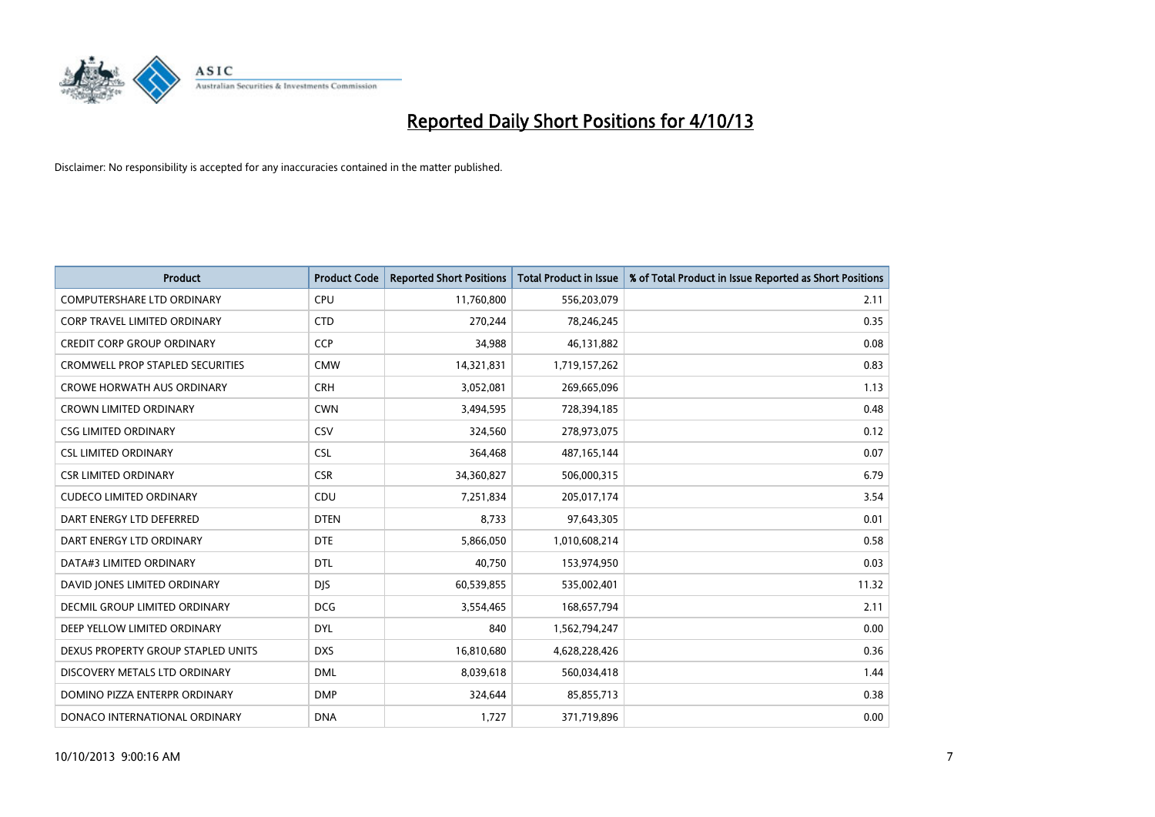

| <b>Product</b>                          | <b>Product Code</b> | <b>Reported Short Positions</b> | <b>Total Product in Issue</b> | % of Total Product in Issue Reported as Short Positions |
|-----------------------------------------|---------------------|---------------------------------|-------------------------------|---------------------------------------------------------|
| <b>COMPUTERSHARE LTD ORDINARY</b>       | <b>CPU</b>          | 11,760,800                      | 556,203,079                   | 2.11                                                    |
| <b>CORP TRAVEL LIMITED ORDINARY</b>     | <b>CTD</b>          | 270,244                         | 78,246,245                    | 0.35                                                    |
| CREDIT CORP GROUP ORDINARY              | <b>CCP</b>          | 34,988                          | 46,131,882                    | 0.08                                                    |
| <b>CROMWELL PROP STAPLED SECURITIES</b> | <b>CMW</b>          | 14,321,831                      | 1,719,157,262                 | 0.83                                                    |
| <b>CROWE HORWATH AUS ORDINARY</b>       | <b>CRH</b>          | 3,052,081                       | 269,665,096                   | 1.13                                                    |
| <b>CROWN LIMITED ORDINARY</b>           | <b>CWN</b>          | 3,494,595                       | 728,394,185                   | 0.48                                                    |
| <b>CSG LIMITED ORDINARY</b>             | <b>CSV</b>          | 324,560                         | 278,973,075                   | 0.12                                                    |
| <b>CSL LIMITED ORDINARY</b>             | <b>CSL</b>          | 364,468                         | 487, 165, 144                 | 0.07                                                    |
| <b>CSR LIMITED ORDINARY</b>             | <b>CSR</b>          | 34,360,827                      | 506,000,315                   | 6.79                                                    |
| <b>CUDECO LIMITED ORDINARY</b>          | CDU                 | 7,251,834                       | 205,017,174                   | 3.54                                                    |
| DART ENERGY LTD DEFERRED                | <b>DTEN</b>         | 8,733                           | 97,643,305                    | 0.01                                                    |
| DART ENERGY LTD ORDINARY                | <b>DTE</b>          | 5,866,050                       | 1,010,608,214                 | 0.58                                                    |
| DATA#3 LIMITED ORDINARY                 | <b>DTL</b>          | 40,750                          | 153,974,950                   | 0.03                                                    |
| DAVID JONES LIMITED ORDINARY            | <b>DJS</b>          | 60,539,855                      | 535,002,401                   | 11.32                                                   |
| DECMIL GROUP LIMITED ORDINARY           | <b>DCG</b>          | 3,554,465                       | 168,657,794                   | 2.11                                                    |
| DEEP YELLOW LIMITED ORDINARY            | <b>DYL</b>          | 840                             | 1,562,794,247                 | 0.00                                                    |
| DEXUS PROPERTY GROUP STAPLED UNITS      | <b>DXS</b>          | 16,810,680                      | 4,628,228,426                 | 0.36                                                    |
| DISCOVERY METALS LTD ORDINARY           | <b>DML</b>          | 8,039,618                       | 560,034,418                   | 1.44                                                    |
| DOMINO PIZZA ENTERPR ORDINARY           | <b>DMP</b>          | 324,644                         | 85,855,713                    | 0.38                                                    |
| DONACO INTERNATIONAL ORDINARY           | <b>DNA</b>          | 1,727                           | 371,719,896                   | 0.00                                                    |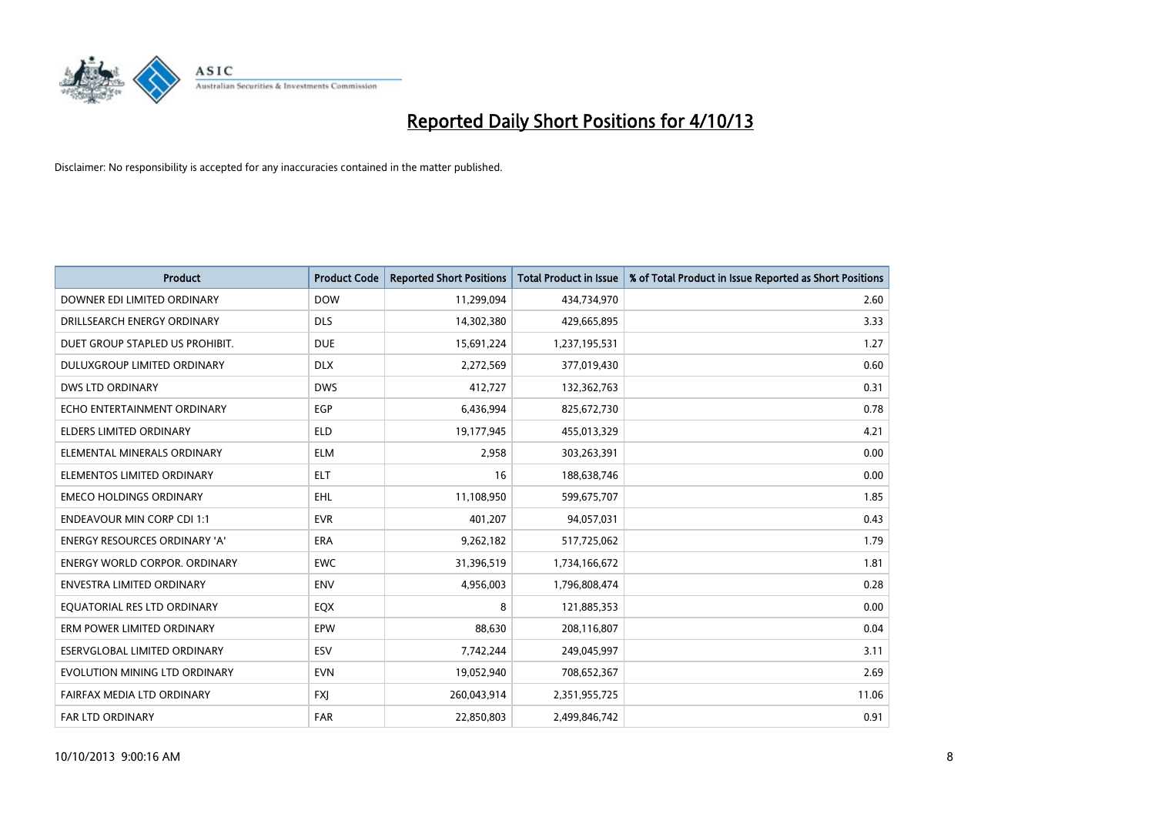

| <b>Product</b>                       | <b>Product Code</b> | <b>Reported Short Positions</b> | <b>Total Product in Issue</b> | % of Total Product in Issue Reported as Short Positions |
|--------------------------------------|---------------------|---------------------------------|-------------------------------|---------------------------------------------------------|
| DOWNER EDI LIMITED ORDINARY          | <b>DOW</b>          | 11,299,094                      | 434,734,970                   | 2.60                                                    |
| DRILLSEARCH ENERGY ORDINARY          | <b>DLS</b>          | 14,302,380                      | 429,665,895                   | 3.33                                                    |
| DUET GROUP STAPLED US PROHIBIT.      | <b>DUE</b>          | 15,691,224                      | 1,237,195,531                 | 1.27                                                    |
| DULUXGROUP LIMITED ORDINARY          | <b>DLX</b>          | 2,272,569                       | 377,019,430                   | 0.60                                                    |
| <b>DWS LTD ORDINARY</b>              | <b>DWS</b>          | 412,727                         | 132,362,763                   | 0.31                                                    |
| ECHO ENTERTAINMENT ORDINARY          | EGP                 | 6,436,994                       | 825,672,730                   | 0.78                                                    |
| <b>ELDERS LIMITED ORDINARY</b>       | <b>ELD</b>          | 19,177,945                      | 455,013,329                   | 4.21                                                    |
| ELEMENTAL MINERALS ORDINARY          | <b>ELM</b>          | 2,958                           | 303,263,391                   | 0.00                                                    |
| ELEMENTOS LIMITED ORDINARY           | <b>ELT</b>          | 16                              | 188,638,746                   | 0.00                                                    |
| <b>EMECO HOLDINGS ORDINARY</b>       | <b>EHL</b>          | 11,108,950                      | 599,675,707                   | 1.85                                                    |
| <b>ENDEAVOUR MIN CORP CDI 1:1</b>    | <b>EVR</b>          | 401,207                         | 94,057,031                    | 0.43                                                    |
| <b>ENERGY RESOURCES ORDINARY 'A'</b> | <b>ERA</b>          | 9,262,182                       | 517,725,062                   | 1.79                                                    |
| ENERGY WORLD CORPOR. ORDINARY        | <b>EWC</b>          | 31,396,519                      | 1,734,166,672                 | 1.81                                                    |
| ENVESTRA LIMITED ORDINARY            | <b>ENV</b>          | 4,956,003                       | 1,796,808,474                 | 0.28                                                    |
| EQUATORIAL RES LTD ORDINARY          | EQX                 | 8                               | 121,885,353                   | 0.00                                                    |
| ERM POWER LIMITED ORDINARY           | EPW                 | 88,630                          | 208,116,807                   | 0.04                                                    |
| ESERVGLOBAL LIMITED ORDINARY         | ESV                 | 7,742,244                       | 249,045,997                   | 3.11                                                    |
| EVOLUTION MINING LTD ORDINARY        | <b>EVN</b>          | 19,052,940                      | 708,652,367                   | 2.69                                                    |
| FAIRFAX MEDIA LTD ORDINARY           | <b>FXI</b>          | 260,043,914                     | 2,351,955,725                 | 11.06                                                   |
| <b>FAR LTD ORDINARY</b>              | <b>FAR</b>          | 22.850.803                      | 2,499,846,742                 | 0.91                                                    |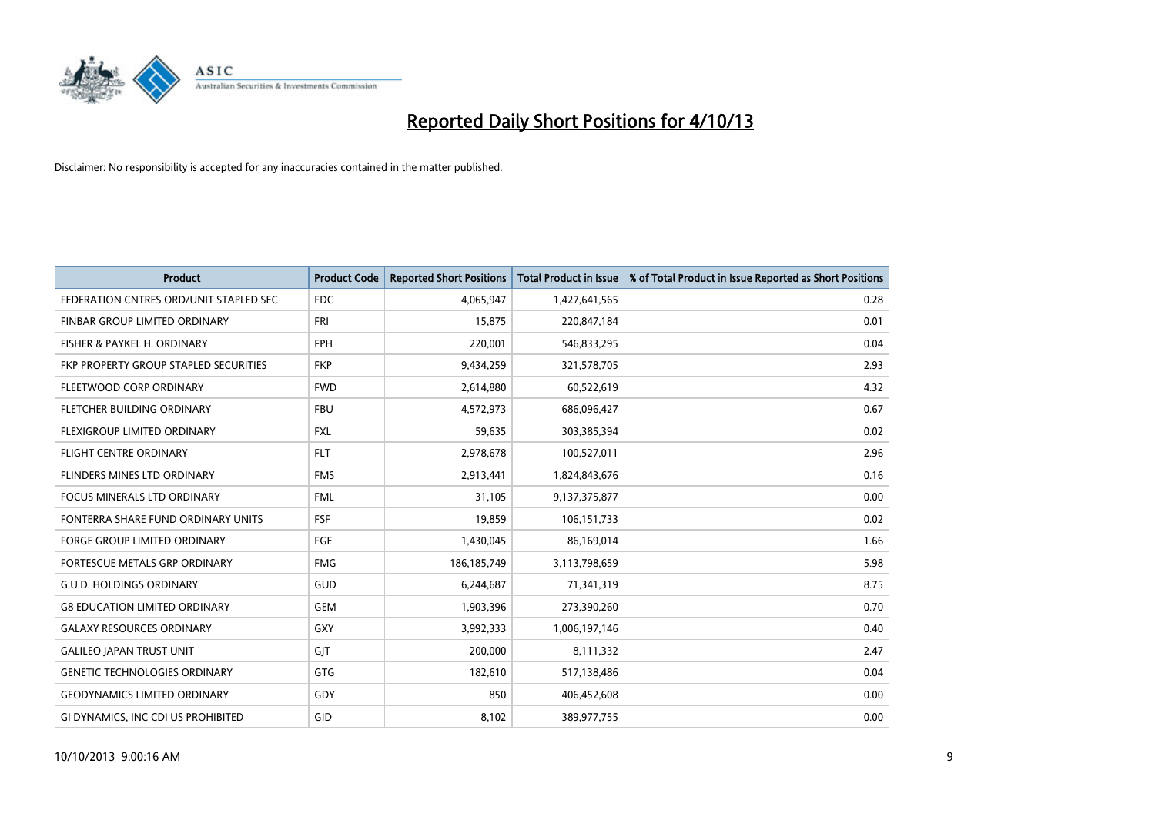

| <b>Product</b>                         | <b>Product Code</b> | <b>Reported Short Positions</b> | <b>Total Product in Issue</b> | % of Total Product in Issue Reported as Short Positions |
|----------------------------------------|---------------------|---------------------------------|-------------------------------|---------------------------------------------------------|
| FEDERATION CNTRES ORD/UNIT STAPLED SEC | <b>FDC</b>          | 4,065,947                       | 1,427,641,565                 | 0.28                                                    |
| FINBAR GROUP LIMITED ORDINARY          | <b>FRI</b>          | 15,875                          | 220,847,184                   | 0.01                                                    |
| FISHER & PAYKEL H. ORDINARY            | <b>FPH</b>          | 220,001                         | 546,833,295                   | 0.04                                                    |
| FKP PROPERTY GROUP STAPLED SECURITIES  | <b>FKP</b>          | 9,434,259                       | 321,578,705                   | 2.93                                                    |
| FLEETWOOD CORP ORDINARY                | <b>FWD</b>          | 2,614,880                       | 60,522,619                    | 4.32                                                    |
| FLETCHER BUILDING ORDINARY             | <b>FBU</b>          | 4,572,973                       | 686,096,427                   | 0.67                                                    |
| FLEXIGROUP LIMITED ORDINARY            | FXL                 | 59,635                          | 303,385,394                   | 0.02                                                    |
| FLIGHT CENTRE ORDINARY                 | <b>FLT</b>          | 2,978,678                       | 100,527,011                   | 2.96                                                    |
| FLINDERS MINES LTD ORDINARY            | <b>FMS</b>          | 2,913,441                       | 1,824,843,676                 | 0.16                                                    |
| <b>FOCUS MINERALS LTD ORDINARY</b>     | <b>FML</b>          | 31,105                          | 9,137,375,877                 | 0.00                                                    |
| FONTERRA SHARE FUND ORDINARY UNITS     | <b>FSF</b>          | 19,859                          | 106,151,733                   | 0.02                                                    |
| <b>FORGE GROUP LIMITED ORDINARY</b>    | FGE                 | 1,430,045                       | 86,169,014                    | 1.66                                                    |
| FORTESCUE METALS GRP ORDINARY          | <b>FMG</b>          | 186, 185, 749                   | 3,113,798,659                 | 5.98                                                    |
| <b>G.U.D. HOLDINGS ORDINARY</b>        | GUD                 | 6,244,687                       | 71,341,319                    | 8.75                                                    |
| <b>G8 EDUCATION LIMITED ORDINARY</b>   | <b>GEM</b>          | 1,903,396                       | 273,390,260                   | 0.70                                                    |
| <b>GALAXY RESOURCES ORDINARY</b>       | GXY                 | 3,992,333                       | 1,006,197,146                 | 0.40                                                    |
| <b>GALILEO JAPAN TRUST UNIT</b>        | GJT                 | 200,000                         | 8,111,332                     | 2.47                                                    |
| <b>GENETIC TECHNOLOGIES ORDINARY</b>   | GTG                 | 182,610                         | 517,138,486                   | 0.04                                                    |
| <b>GEODYNAMICS LIMITED ORDINARY</b>    | GDY                 | 850                             | 406,452,608                   | 0.00                                                    |
| GI DYNAMICS, INC CDI US PROHIBITED     | GID                 | 8,102                           | 389,977,755                   | 0.00                                                    |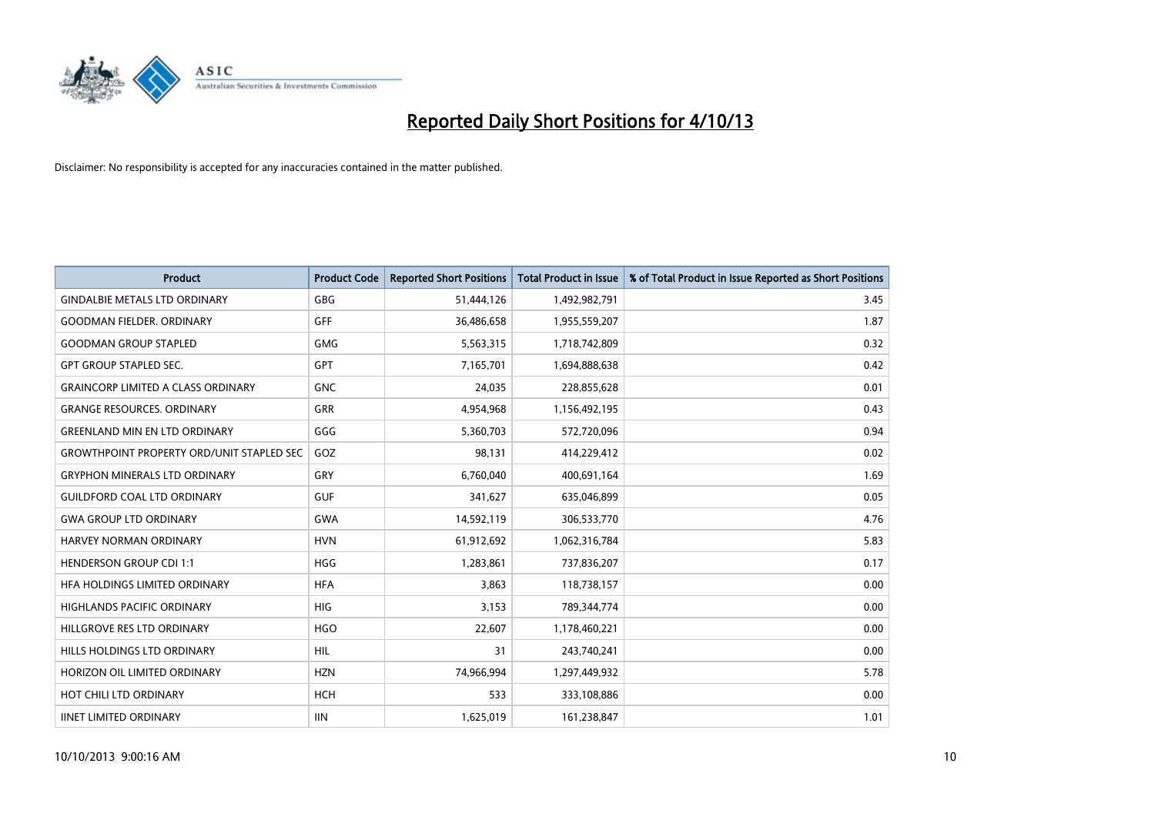

| <b>Product</b>                                   | <b>Product Code</b> | <b>Reported Short Positions</b> | <b>Total Product in Issue</b> | % of Total Product in Issue Reported as Short Positions |
|--------------------------------------------------|---------------------|---------------------------------|-------------------------------|---------------------------------------------------------|
| <b>GINDALBIE METALS LTD ORDINARY</b>             | <b>GBG</b>          | 51,444,126                      | 1,492,982,791                 | 3.45                                                    |
| <b>GOODMAN FIELDER, ORDINARY</b>                 | GFF                 | 36,486,658                      | 1,955,559,207                 | 1.87                                                    |
| <b>GOODMAN GROUP STAPLED</b>                     | <b>GMG</b>          | 5,563,315                       | 1,718,742,809                 | 0.32                                                    |
| <b>GPT GROUP STAPLED SEC.</b>                    | GPT                 | 7,165,701                       | 1,694,888,638                 | 0.42                                                    |
| <b>GRAINCORP LIMITED A CLASS ORDINARY</b>        | <b>GNC</b>          | 24,035                          | 228,855,628                   | 0.01                                                    |
| <b>GRANGE RESOURCES, ORDINARY</b>                | <b>GRR</b>          | 4,954,968                       | 1,156,492,195                 | 0.43                                                    |
| <b>GREENLAND MIN EN LTD ORDINARY</b>             | GGG                 | 5,360,703                       | 572,720,096                   | 0.94                                                    |
| <b>GROWTHPOINT PROPERTY ORD/UNIT STAPLED SEC</b> | GOZ                 | 98,131                          | 414,229,412                   | 0.02                                                    |
| <b>GRYPHON MINERALS LTD ORDINARY</b>             | GRY                 | 6,760,040                       | 400,691,164                   | 1.69                                                    |
| <b>GUILDFORD COAL LTD ORDINARY</b>               | <b>GUF</b>          | 341,627                         | 635,046,899                   | 0.05                                                    |
| <b>GWA GROUP LTD ORDINARY</b>                    | <b>GWA</b>          | 14,592,119                      | 306,533,770                   | 4.76                                                    |
| <b>HARVEY NORMAN ORDINARY</b>                    | <b>HVN</b>          | 61,912,692                      | 1,062,316,784                 | 5.83                                                    |
| <b>HENDERSON GROUP CDI 1:1</b>                   | <b>HGG</b>          | 1,283,861                       | 737,836,207                   | 0.17                                                    |
| HFA HOLDINGS LIMITED ORDINARY                    | <b>HFA</b>          | 3,863                           | 118,738,157                   | 0.00                                                    |
| <b>HIGHLANDS PACIFIC ORDINARY</b>                | <b>HIG</b>          | 3,153                           | 789,344,774                   | 0.00                                                    |
| HILLGROVE RES LTD ORDINARY                       | <b>HGO</b>          | 22,607                          | 1,178,460,221                 | 0.00                                                    |
| HILLS HOLDINGS LTD ORDINARY                      | <b>HIL</b>          | 31                              | 243,740,241                   | 0.00                                                    |
| HORIZON OIL LIMITED ORDINARY                     | <b>HZN</b>          | 74,966,994                      | 1,297,449,932                 | 5.78                                                    |
| HOT CHILI LTD ORDINARY                           | <b>HCH</b>          | 533                             | 333,108,886                   | 0.00                                                    |
| <b>IINET LIMITED ORDINARY</b>                    | <b>IIN</b>          | 1,625,019                       | 161,238,847                   | 1.01                                                    |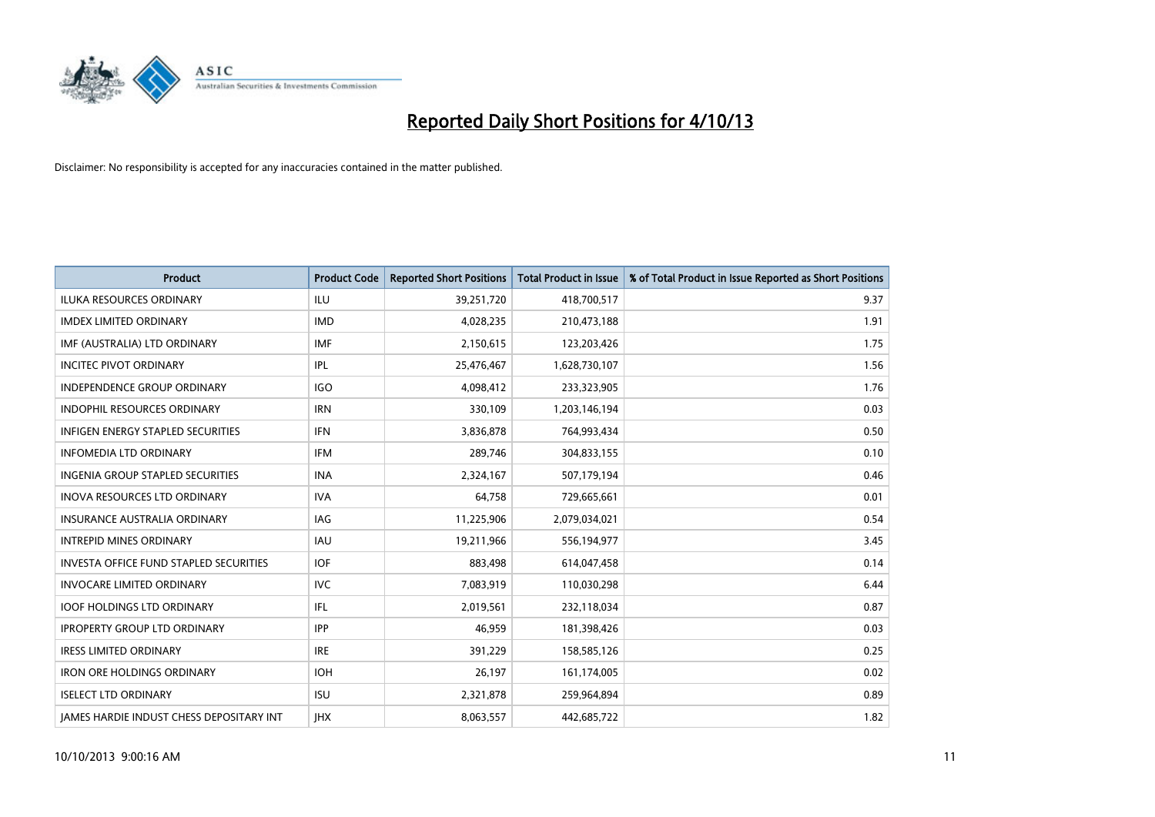

| <b>Product</b>                                  | <b>Product Code</b> | <b>Reported Short Positions</b> | <b>Total Product in Issue</b> | % of Total Product in Issue Reported as Short Positions |
|-------------------------------------------------|---------------------|---------------------------------|-------------------------------|---------------------------------------------------------|
| <b>ILUKA RESOURCES ORDINARY</b>                 | ILU                 | 39,251,720                      | 418,700,517                   | 9.37                                                    |
| <b>IMDEX LIMITED ORDINARY</b>                   | <b>IMD</b>          | 4,028,235                       | 210,473,188                   | 1.91                                                    |
| IMF (AUSTRALIA) LTD ORDINARY                    | <b>IMF</b>          | 2,150,615                       | 123,203,426                   | 1.75                                                    |
| <b>INCITEC PIVOT ORDINARY</b>                   | IPL                 | 25,476,467                      | 1,628,730,107                 | 1.56                                                    |
| <b>INDEPENDENCE GROUP ORDINARY</b>              | <b>IGO</b>          | 4,098,412                       | 233,323,905                   | 1.76                                                    |
| <b>INDOPHIL RESOURCES ORDINARY</b>              | <b>IRN</b>          | 330,109                         | 1,203,146,194                 | 0.03                                                    |
| <b>INFIGEN ENERGY STAPLED SECURITIES</b>        | <b>IFN</b>          | 3,836,878                       | 764,993,434                   | 0.50                                                    |
| <b>INFOMEDIA LTD ORDINARY</b>                   | <b>IFM</b>          | 289,746                         | 304,833,155                   | 0.10                                                    |
| INGENIA GROUP STAPLED SECURITIES                | <b>INA</b>          | 2,324,167                       | 507,179,194                   | 0.46                                                    |
| <b>INOVA RESOURCES LTD ORDINARY</b>             | <b>IVA</b>          | 64,758                          | 729,665,661                   | 0.01                                                    |
| INSURANCE AUSTRALIA ORDINARY                    | IAG                 | 11,225,906                      | 2,079,034,021                 | 0.54                                                    |
| <b>INTREPID MINES ORDINARY</b>                  | IAU                 | 19,211,966                      | 556,194,977                   | 3.45                                                    |
| <b>INVESTA OFFICE FUND STAPLED SECURITIES</b>   | <b>IOF</b>          | 883,498                         | 614,047,458                   | 0.14                                                    |
| <b>INVOCARE LIMITED ORDINARY</b>                | <b>IVC</b>          | 7,083,919                       | 110,030,298                   | 6.44                                                    |
| <b>IOOF HOLDINGS LTD ORDINARY</b>               | IFL                 | 2,019,561                       | 232,118,034                   | 0.87                                                    |
| <b>IPROPERTY GROUP LTD ORDINARY</b>             | <b>IPP</b>          | 46,959                          | 181,398,426                   | 0.03                                                    |
| <b>IRESS LIMITED ORDINARY</b>                   | <b>IRE</b>          | 391,229                         | 158,585,126                   | 0.25                                                    |
| <b>IRON ORE HOLDINGS ORDINARY</b>               | <b>IOH</b>          | 26,197                          | 161,174,005                   | 0.02                                                    |
| <b>ISELECT LTD ORDINARY</b>                     | <b>ISU</b>          | 2,321,878                       | 259,964,894                   | 0.89                                                    |
| <b>IAMES HARDIE INDUST CHESS DEPOSITARY INT</b> | <b>IHX</b>          | 8,063,557                       | 442,685,722                   | 1.82                                                    |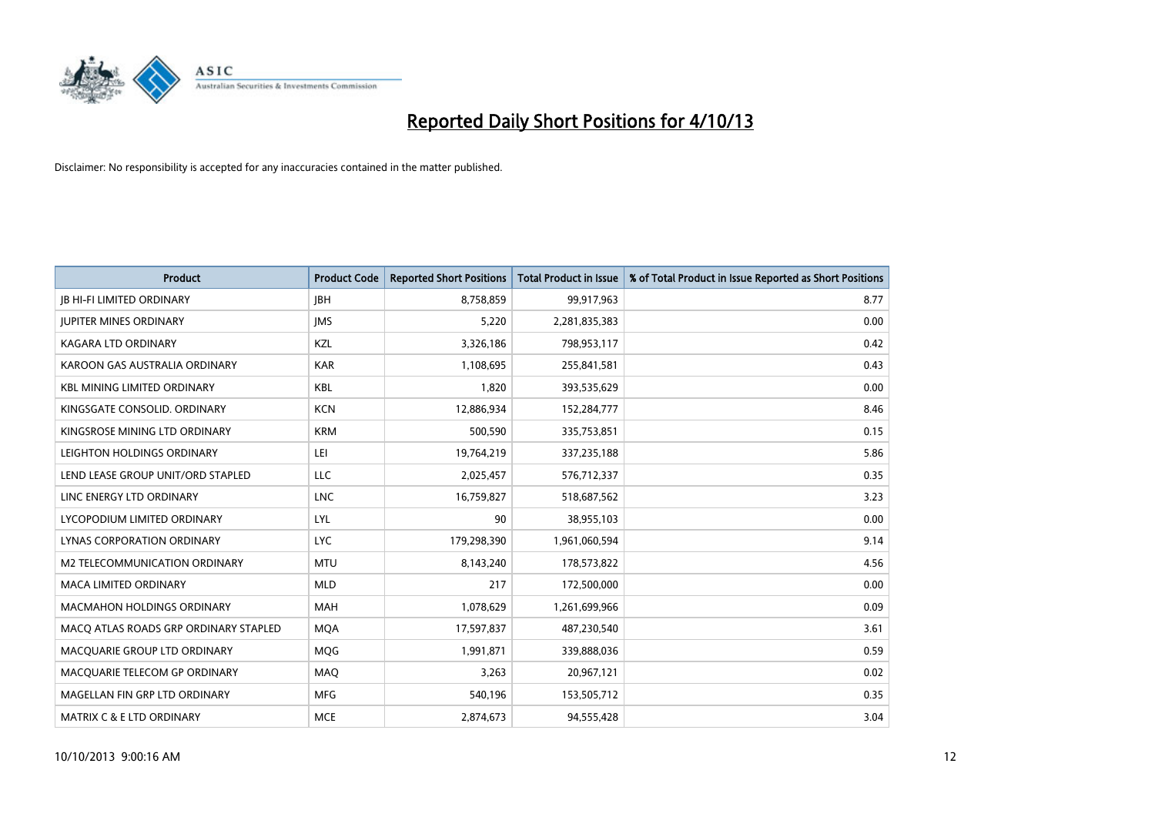

| <b>Product</b>                        | <b>Product Code</b> | <b>Reported Short Positions</b> | <b>Total Product in Issue</b> | % of Total Product in Issue Reported as Short Positions |
|---------------------------------------|---------------------|---------------------------------|-------------------------------|---------------------------------------------------------|
| <b>JB HI-FI LIMITED ORDINARY</b>      | <b>JBH</b>          | 8,758,859                       | 99,917,963                    | 8.77                                                    |
| <b>JUPITER MINES ORDINARY</b>         | <b>IMS</b>          | 5,220                           | 2,281,835,383                 | 0.00                                                    |
| <b>KAGARA LTD ORDINARY</b>            | KZL                 | 3,326,186                       | 798,953,117                   | 0.42                                                    |
| KAROON GAS AUSTRALIA ORDINARY         | <b>KAR</b>          | 1,108,695                       | 255,841,581                   | 0.43                                                    |
| <b>KBL MINING LIMITED ORDINARY</b>    | <b>KBL</b>          | 1,820                           | 393,535,629                   | 0.00                                                    |
| KINGSGATE CONSOLID. ORDINARY          | <b>KCN</b>          | 12,886,934                      | 152,284,777                   | 8.46                                                    |
| KINGSROSE MINING LTD ORDINARY         | <b>KRM</b>          | 500,590                         | 335,753,851                   | 0.15                                                    |
| LEIGHTON HOLDINGS ORDINARY            | LEI                 | 19,764,219                      | 337,235,188                   | 5.86                                                    |
| LEND LEASE GROUP UNIT/ORD STAPLED     | <b>LLC</b>          | 2,025,457                       | 576,712,337                   | 0.35                                                    |
| LINC ENERGY LTD ORDINARY              | <b>LNC</b>          | 16,759,827                      | 518,687,562                   | 3.23                                                    |
| LYCOPODIUM LIMITED ORDINARY           | <b>LYL</b>          | 90                              | 38,955,103                    | 0.00                                                    |
| <b>LYNAS CORPORATION ORDINARY</b>     | <b>LYC</b>          | 179,298,390                     | 1,961,060,594                 | 9.14                                                    |
| M2 TELECOMMUNICATION ORDINARY         | <b>MTU</b>          | 8,143,240                       | 178,573,822                   | 4.56                                                    |
| <b>MACA LIMITED ORDINARY</b>          | <b>MLD</b>          | 217                             | 172,500,000                   | 0.00                                                    |
| <b>MACMAHON HOLDINGS ORDINARY</b>     | <b>MAH</b>          | 1,078,629                       | 1,261,699,966                 | 0.09                                                    |
| MACO ATLAS ROADS GRP ORDINARY STAPLED | <b>MOA</b>          | 17,597,837                      | 487,230,540                   | 3.61                                                    |
| MACQUARIE GROUP LTD ORDINARY          | MQG                 | 1,991,871                       | 339,888,036                   | 0.59                                                    |
| MACQUARIE TELECOM GP ORDINARY         | MAQ                 | 3,263                           | 20,967,121                    | 0.02                                                    |
| MAGELLAN FIN GRP LTD ORDINARY         | <b>MFG</b>          | 540,196                         | 153,505,712                   | 0.35                                                    |
| <b>MATRIX C &amp; E LTD ORDINARY</b>  | <b>MCE</b>          | 2,874,673                       | 94,555,428                    | 3.04                                                    |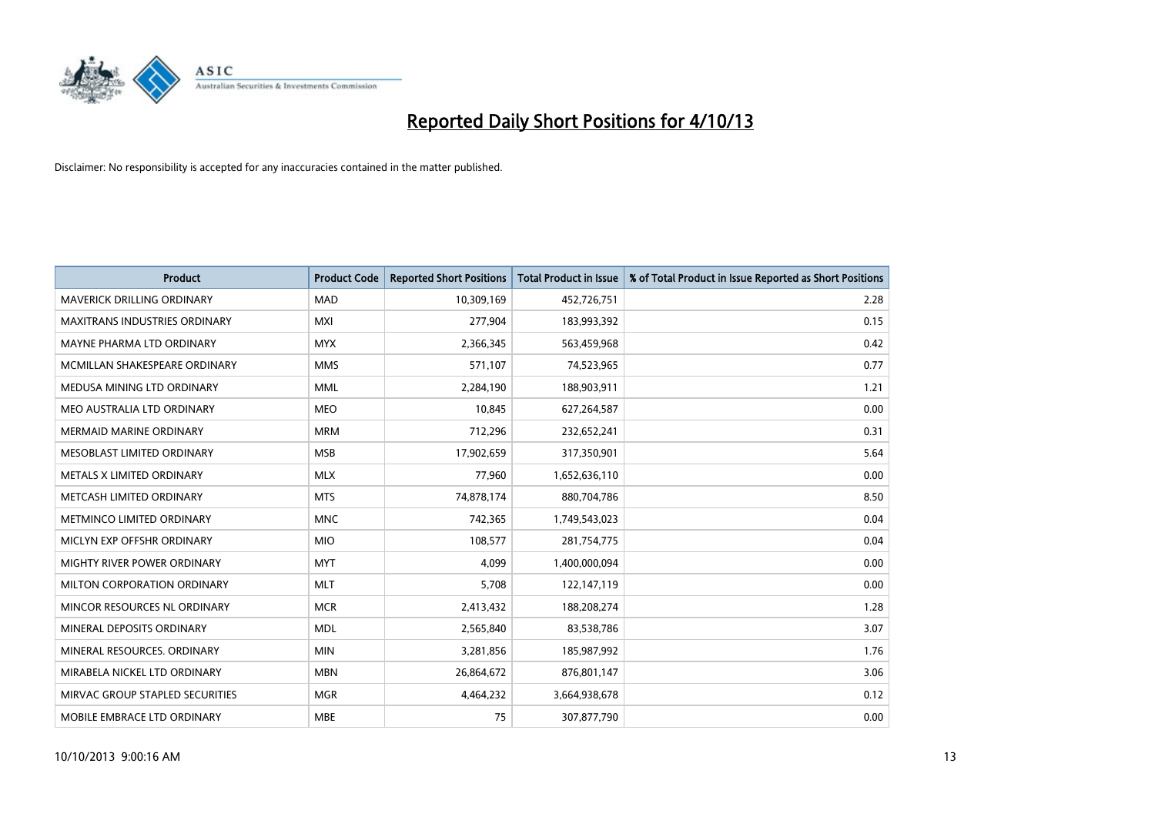

| <b>Product</b>                    | <b>Product Code</b> | <b>Reported Short Positions</b> | <b>Total Product in Issue</b> | % of Total Product in Issue Reported as Short Positions |
|-----------------------------------|---------------------|---------------------------------|-------------------------------|---------------------------------------------------------|
| <b>MAVERICK DRILLING ORDINARY</b> | <b>MAD</b>          | 10,309,169                      | 452,726,751                   | 2.28                                                    |
| MAXITRANS INDUSTRIES ORDINARY     | <b>MXI</b>          | 277,904                         | 183,993,392                   | 0.15                                                    |
| MAYNE PHARMA LTD ORDINARY         | <b>MYX</b>          | 2,366,345                       | 563,459,968                   | 0.42                                                    |
| MCMILLAN SHAKESPEARE ORDINARY     | <b>MMS</b>          | 571,107                         | 74,523,965                    | 0.77                                                    |
| MEDUSA MINING LTD ORDINARY        | <b>MML</b>          | 2,284,190                       | 188,903,911                   | 1.21                                                    |
| MEO AUSTRALIA LTD ORDINARY        | <b>MEO</b>          | 10,845                          | 627,264,587                   | 0.00                                                    |
| <b>MERMAID MARINE ORDINARY</b>    | <b>MRM</b>          | 712,296                         | 232,652,241                   | 0.31                                                    |
| MESOBLAST LIMITED ORDINARY        | <b>MSB</b>          | 17,902,659                      | 317,350,901                   | 5.64                                                    |
| METALS X LIMITED ORDINARY         | <b>MLX</b>          | 77,960                          | 1,652,636,110                 | 0.00                                                    |
| METCASH LIMITED ORDINARY          | <b>MTS</b>          | 74,878,174                      | 880,704,786                   | 8.50                                                    |
| METMINCO LIMITED ORDINARY         | <b>MNC</b>          | 742,365                         | 1,749,543,023                 | 0.04                                                    |
| MICLYN EXP OFFSHR ORDINARY        | <b>MIO</b>          | 108,577                         | 281,754,775                   | 0.04                                                    |
| MIGHTY RIVER POWER ORDINARY       | <b>MYT</b>          | 4,099                           | 1,400,000,094                 | 0.00                                                    |
| MILTON CORPORATION ORDINARY       | <b>MLT</b>          | 5,708                           | 122,147,119                   | 0.00                                                    |
| MINCOR RESOURCES NL ORDINARY      | <b>MCR</b>          | 2,413,432                       | 188,208,274                   | 1.28                                                    |
| MINERAL DEPOSITS ORDINARY         | <b>MDL</b>          | 2,565,840                       | 83,538,786                    | 3.07                                                    |
| MINERAL RESOURCES. ORDINARY       | <b>MIN</b>          | 3,281,856                       | 185,987,992                   | 1.76                                                    |
| MIRABELA NICKEL LTD ORDINARY      | <b>MBN</b>          | 26,864,672                      | 876,801,147                   | 3.06                                                    |
| MIRVAC GROUP STAPLED SECURITIES   | <b>MGR</b>          | 4,464,232                       | 3,664,938,678                 | 0.12                                                    |
| MOBILE EMBRACE LTD ORDINARY       | <b>MBE</b>          | 75                              | 307,877,790                   | 0.00                                                    |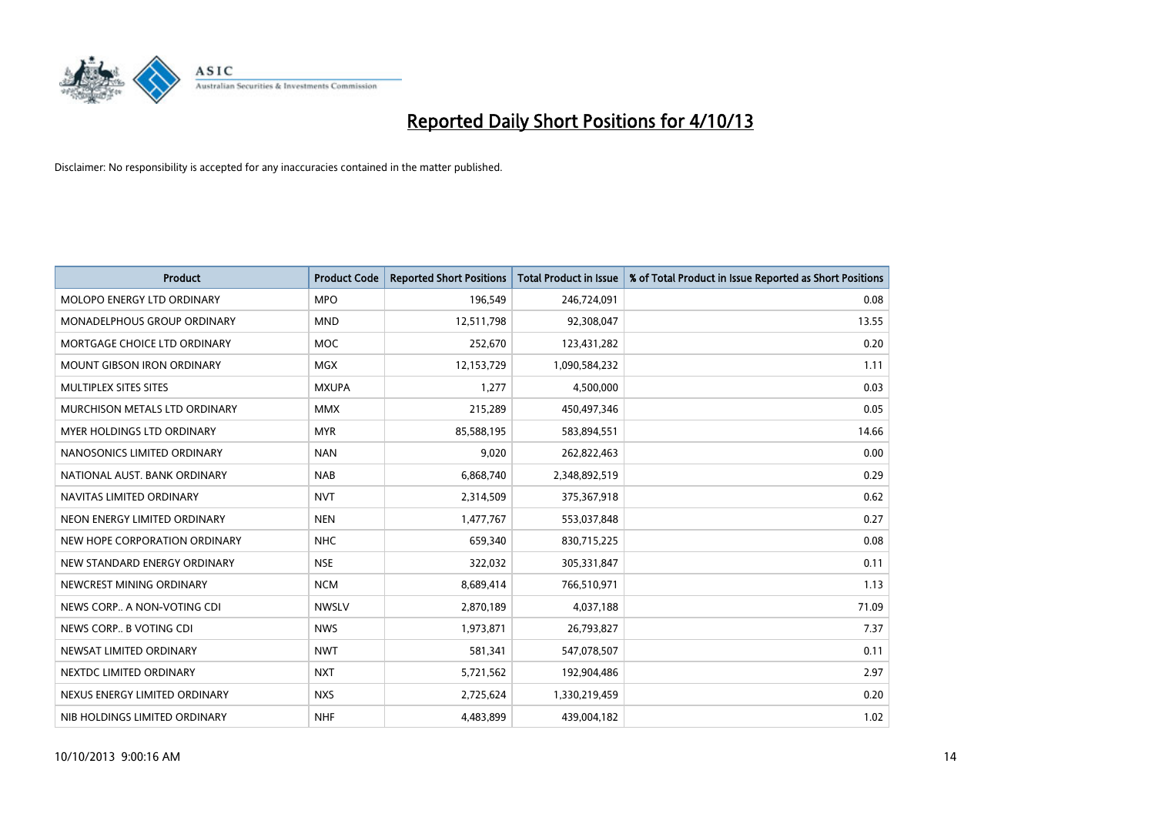

| <b>Product</b>                    | <b>Product Code</b> | <b>Reported Short Positions</b> | <b>Total Product in Issue</b> | % of Total Product in Issue Reported as Short Positions |
|-----------------------------------|---------------------|---------------------------------|-------------------------------|---------------------------------------------------------|
| MOLOPO ENERGY LTD ORDINARY        | <b>MPO</b>          | 196,549                         | 246,724,091                   | 0.08                                                    |
| MONADELPHOUS GROUP ORDINARY       | <b>MND</b>          | 12,511,798                      | 92,308,047                    | 13.55                                                   |
| MORTGAGE CHOICE LTD ORDINARY      | <b>MOC</b>          | 252,670                         | 123,431,282                   | 0.20                                                    |
| <b>MOUNT GIBSON IRON ORDINARY</b> | <b>MGX</b>          | 12,153,729                      | 1,090,584,232                 | 1.11                                                    |
| MULTIPLEX SITES SITES             | <b>MXUPA</b>        | 1,277                           | 4,500,000                     | 0.03                                                    |
| MURCHISON METALS LTD ORDINARY     | <b>MMX</b>          | 215,289                         | 450,497,346                   | 0.05                                                    |
| MYER HOLDINGS LTD ORDINARY        | <b>MYR</b>          | 85,588,195                      | 583,894,551                   | 14.66                                                   |
| NANOSONICS LIMITED ORDINARY       | <b>NAN</b>          | 9,020                           | 262,822,463                   | 0.00                                                    |
| NATIONAL AUST, BANK ORDINARY      | <b>NAB</b>          | 6,868,740                       | 2,348,892,519                 | 0.29                                                    |
| NAVITAS LIMITED ORDINARY          | <b>NVT</b>          | 2,314,509                       | 375,367,918                   | 0.62                                                    |
| NEON ENERGY LIMITED ORDINARY      | <b>NEN</b>          | 1,477,767                       | 553,037,848                   | 0.27                                                    |
| NEW HOPE CORPORATION ORDINARY     | <b>NHC</b>          | 659,340                         | 830,715,225                   | 0.08                                                    |
| NEW STANDARD ENERGY ORDINARY      | <b>NSE</b>          | 322,032                         | 305,331,847                   | 0.11                                                    |
| NEWCREST MINING ORDINARY          | <b>NCM</b>          | 8,689,414                       | 766,510,971                   | 1.13                                                    |
| NEWS CORP A NON-VOTING CDI        | <b>NWSLV</b>        | 2,870,189                       | 4,037,188                     | 71.09                                                   |
| NEWS CORP B VOTING CDI            | <b>NWS</b>          | 1,973,871                       | 26,793,827                    | 7.37                                                    |
| NEWSAT LIMITED ORDINARY           | <b>NWT</b>          | 581,341                         | 547,078,507                   | 0.11                                                    |
| NEXTDC LIMITED ORDINARY           | <b>NXT</b>          | 5,721,562                       | 192,904,486                   | 2.97                                                    |
| NEXUS ENERGY LIMITED ORDINARY     | <b>NXS</b>          | 2,725,624                       | 1,330,219,459                 | 0.20                                                    |
| NIB HOLDINGS LIMITED ORDINARY     | <b>NHF</b>          | 4,483,899                       | 439,004,182                   | 1.02                                                    |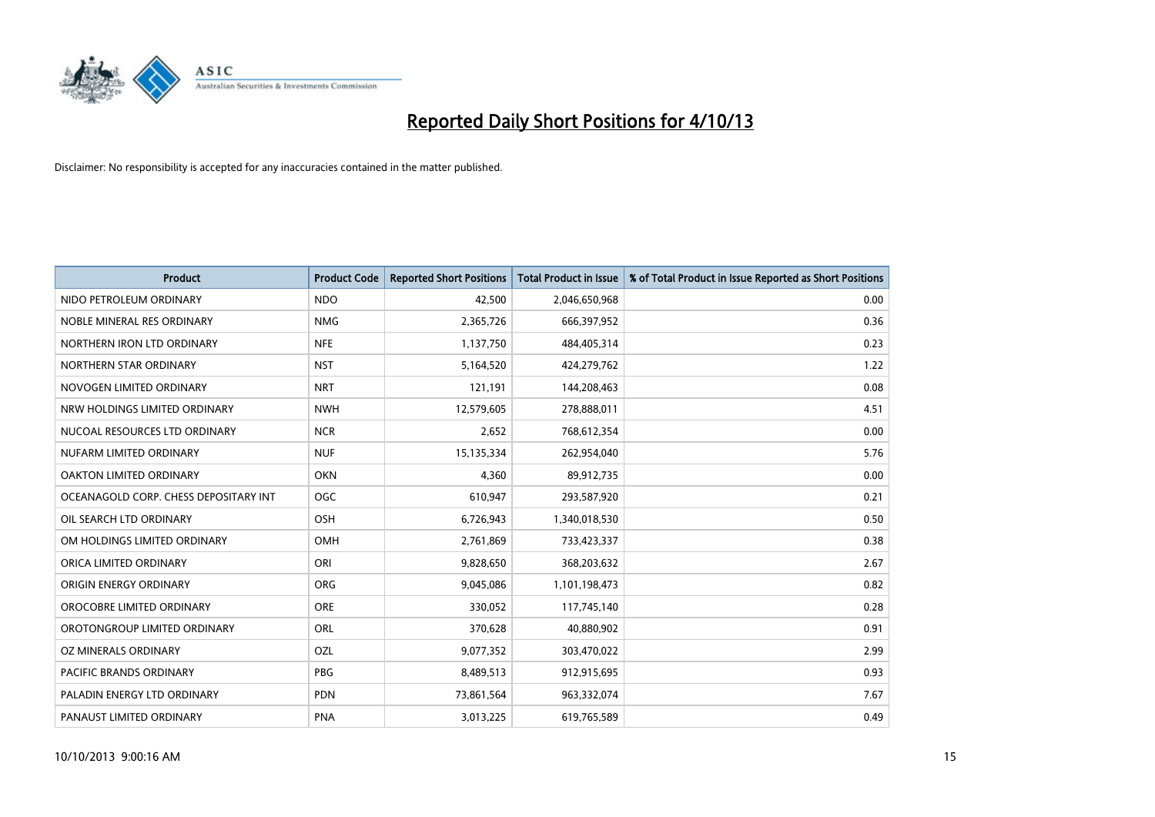

| <b>Product</b>                        | <b>Product Code</b> | <b>Reported Short Positions</b> | <b>Total Product in Issue</b> | % of Total Product in Issue Reported as Short Positions |
|---------------------------------------|---------------------|---------------------------------|-------------------------------|---------------------------------------------------------|
| NIDO PETROLEUM ORDINARY               | <b>NDO</b>          | 42,500                          | 2,046,650,968                 | 0.00                                                    |
| NOBLE MINERAL RES ORDINARY            | <b>NMG</b>          | 2,365,726                       | 666,397,952                   | 0.36                                                    |
| NORTHERN IRON LTD ORDINARY            | <b>NFE</b>          | 1,137,750                       | 484,405,314                   | 0.23                                                    |
| NORTHERN STAR ORDINARY                | <b>NST</b>          | 5,164,520                       | 424,279,762                   | 1.22                                                    |
| NOVOGEN LIMITED ORDINARY              | <b>NRT</b>          | 121,191                         | 144,208,463                   | 0.08                                                    |
| NRW HOLDINGS LIMITED ORDINARY         | <b>NWH</b>          | 12,579,605                      | 278,888,011                   | 4.51                                                    |
| NUCOAL RESOURCES LTD ORDINARY         | <b>NCR</b>          | 2,652                           | 768,612,354                   | 0.00                                                    |
| NUFARM LIMITED ORDINARY               | <b>NUF</b>          | 15,135,334                      | 262,954,040                   | 5.76                                                    |
| OAKTON LIMITED ORDINARY               | <b>OKN</b>          | 4,360                           | 89,912,735                    | 0.00                                                    |
| OCEANAGOLD CORP. CHESS DEPOSITARY INT | <b>OGC</b>          | 610,947                         | 293,587,920                   | 0.21                                                    |
| OIL SEARCH LTD ORDINARY               | OSH                 | 6,726,943                       | 1,340,018,530                 | 0.50                                                    |
| OM HOLDINGS LIMITED ORDINARY          | OMH                 | 2,761,869                       | 733,423,337                   | 0.38                                                    |
| ORICA LIMITED ORDINARY                | ORI                 | 9,828,650                       | 368,203,632                   | 2.67                                                    |
| ORIGIN ENERGY ORDINARY                | ORG                 | 9,045,086                       | 1,101,198,473                 | 0.82                                                    |
| OROCOBRE LIMITED ORDINARY             | <b>ORE</b>          | 330,052                         | 117,745,140                   | 0.28                                                    |
| OROTONGROUP LIMITED ORDINARY          | ORL                 | 370,628                         | 40,880,902                    | 0.91                                                    |
| OZ MINERALS ORDINARY                  | OZL                 | 9,077,352                       | 303,470,022                   | 2.99                                                    |
| <b>PACIFIC BRANDS ORDINARY</b>        | <b>PBG</b>          | 8,489,513                       | 912,915,695                   | 0.93                                                    |
| PALADIN ENERGY LTD ORDINARY           | <b>PDN</b>          | 73,861,564                      | 963,332,074                   | 7.67                                                    |
| PANAUST LIMITED ORDINARY              | <b>PNA</b>          | 3,013,225                       | 619,765,589                   | 0.49                                                    |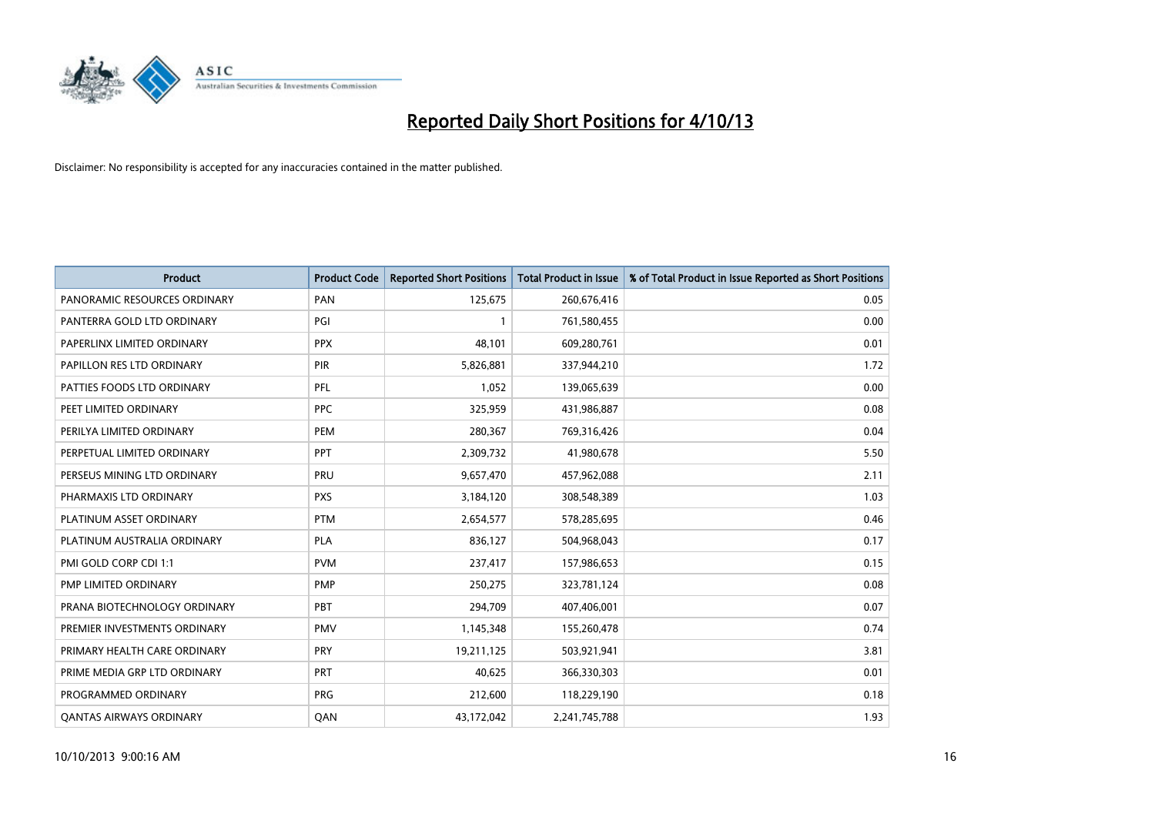

| <b>Product</b>                 | <b>Product Code</b> | <b>Reported Short Positions</b> | <b>Total Product in Issue</b> | % of Total Product in Issue Reported as Short Positions |
|--------------------------------|---------------------|---------------------------------|-------------------------------|---------------------------------------------------------|
| PANORAMIC RESOURCES ORDINARY   | PAN                 | 125,675                         | 260,676,416                   | 0.05                                                    |
| PANTERRA GOLD LTD ORDINARY     | PGI                 |                                 | 761,580,455                   | 0.00                                                    |
| PAPERLINX LIMITED ORDINARY     | <b>PPX</b>          | 48.101                          | 609,280,761                   | 0.01                                                    |
| PAPILLON RES LTD ORDINARY      | <b>PIR</b>          | 5,826,881                       | 337,944,210                   | 1.72                                                    |
| PATTIES FOODS LTD ORDINARY     | PFL                 | 1,052                           | 139,065,639                   | 0.00                                                    |
| PEET LIMITED ORDINARY          | <b>PPC</b>          | 325,959                         | 431,986,887                   | 0.08                                                    |
| PERILYA LIMITED ORDINARY       | <b>PEM</b>          | 280,367                         | 769,316,426                   | 0.04                                                    |
| PERPETUAL LIMITED ORDINARY     | PPT                 | 2,309,732                       | 41,980,678                    | 5.50                                                    |
| PERSEUS MINING LTD ORDINARY    | PRU                 | 9,657,470                       | 457,962,088                   | 2.11                                                    |
| PHARMAXIS LTD ORDINARY         | <b>PXS</b>          | 3,184,120                       | 308,548,389                   | 1.03                                                    |
| PLATINUM ASSET ORDINARY        | <b>PTM</b>          | 2,654,577                       | 578,285,695                   | 0.46                                                    |
| PLATINUM AUSTRALIA ORDINARY    | <b>PLA</b>          | 836,127                         | 504,968,043                   | 0.17                                                    |
| PMI GOLD CORP CDI 1:1          | <b>PVM</b>          | 237,417                         | 157,986,653                   | 0.15                                                    |
| PMP LIMITED ORDINARY           | <b>PMP</b>          | 250,275                         | 323,781,124                   | 0.08                                                    |
| PRANA BIOTECHNOLOGY ORDINARY   | <b>PBT</b>          | 294,709                         | 407,406,001                   | 0.07                                                    |
| PREMIER INVESTMENTS ORDINARY   | <b>PMV</b>          | 1,145,348                       | 155,260,478                   | 0.74                                                    |
| PRIMARY HEALTH CARE ORDINARY   | <b>PRY</b>          | 19,211,125                      | 503,921,941                   | 3.81                                                    |
| PRIME MEDIA GRP LTD ORDINARY   | PRT                 | 40,625                          | 366,330,303                   | 0.01                                                    |
| PROGRAMMED ORDINARY            | <b>PRG</b>          | 212,600                         | 118,229,190                   | 0.18                                                    |
| <b>QANTAS AIRWAYS ORDINARY</b> | QAN                 | 43,172,042                      | 2,241,745,788                 | 1.93                                                    |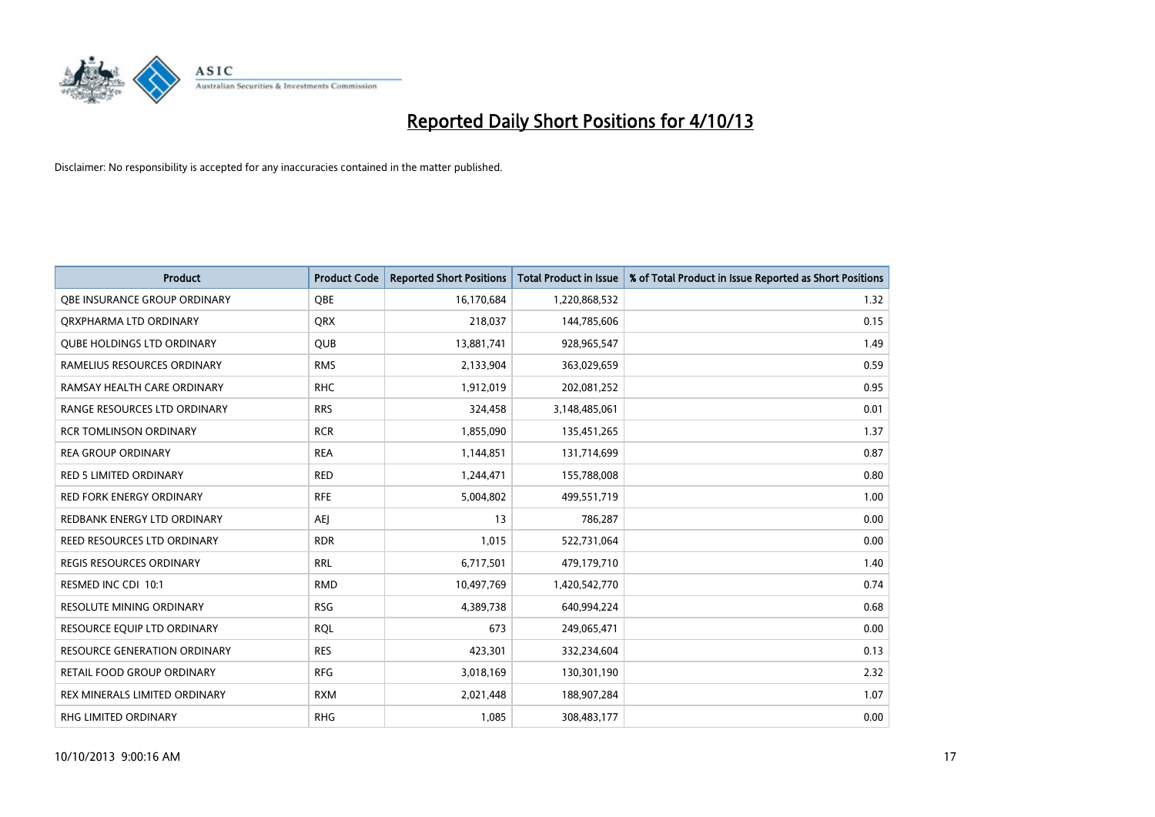

| <b>Product</b>                      | <b>Product Code</b> | <b>Reported Short Positions</b> | <b>Total Product in Issue</b> | % of Total Product in Issue Reported as Short Positions |
|-------------------------------------|---------------------|---------------------------------|-------------------------------|---------------------------------------------------------|
| OBE INSURANCE GROUP ORDINARY        | <b>OBE</b>          | 16,170,684                      | 1,220,868,532                 | 1.32                                                    |
| ORXPHARMA LTD ORDINARY              | <b>QRX</b>          | 218,037                         | 144,785,606                   | 0.15                                                    |
| <b>QUBE HOLDINGS LTD ORDINARY</b>   | <b>QUB</b>          | 13,881,741                      | 928,965,547                   | 1.49                                                    |
| RAMELIUS RESOURCES ORDINARY         | <b>RMS</b>          | 2,133,904                       | 363,029,659                   | 0.59                                                    |
| RAMSAY HEALTH CARE ORDINARY         | <b>RHC</b>          | 1,912,019                       | 202,081,252                   | 0.95                                                    |
| RANGE RESOURCES LTD ORDINARY        | <b>RRS</b>          | 324,458                         | 3,148,485,061                 | 0.01                                                    |
| <b>RCR TOMLINSON ORDINARY</b>       | <b>RCR</b>          | 1,855,090                       | 135,451,265                   | 1.37                                                    |
| <b>REA GROUP ORDINARY</b>           | <b>REA</b>          | 1,144,851                       | 131,714,699                   | 0.87                                                    |
| <b>RED 5 LIMITED ORDINARY</b>       | <b>RED</b>          | 1,244,471                       | 155,788,008                   | 0.80                                                    |
| <b>RED FORK ENERGY ORDINARY</b>     | <b>RFE</b>          | 5,004,802                       | 499,551,719                   | 1.00                                                    |
| REDBANK ENERGY LTD ORDINARY         | <b>AEJ</b>          | 13                              | 786,287                       | 0.00                                                    |
| REED RESOURCES LTD ORDINARY         | <b>RDR</b>          | 1,015                           | 522,731,064                   | 0.00                                                    |
| REGIS RESOURCES ORDINARY            | <b>RRL</b>          | 6,717,501                       | 479,179,710                   | 1.40                                                    |
| RESMED INC CDI 10:1                 | <b>RMD</b>          | 10,497,769                      | 1,420,542,770                 | 0.74                                                    |
| <b>RESOLUTE MINING ORDINARY</b>     | <b>RSG</b>          | 4,389,738                       | 640,994,224                   | 0.68                                                    |
| RESOURCE EQUIP LTD ORDINARY         | <b>RQL</b>          | 673                             | 249,065,471                   | 0.00                                                    |
| <b>RESOURCE GENERATION ORDINARY</b> | <b>RES</b>          | 423,301                         | 332,234,604                   | 0.13                                                    |
| RETAIL FOOD GROUP ORDINARY          | <b>RFG</b>          | 3,018,169                       | 130,301,190                   | 2.32                                                    |
| REX MINERALS LIMITED ORDINARY       | <b>RXM</b>          | 2,021,448                       | 188,907,284                   | 1.07                                                    |
| RHG LIMITED ORDINARY                | <b>RHG</b>          | 1,085                           | 308,483,177                   | 0.00                                                    |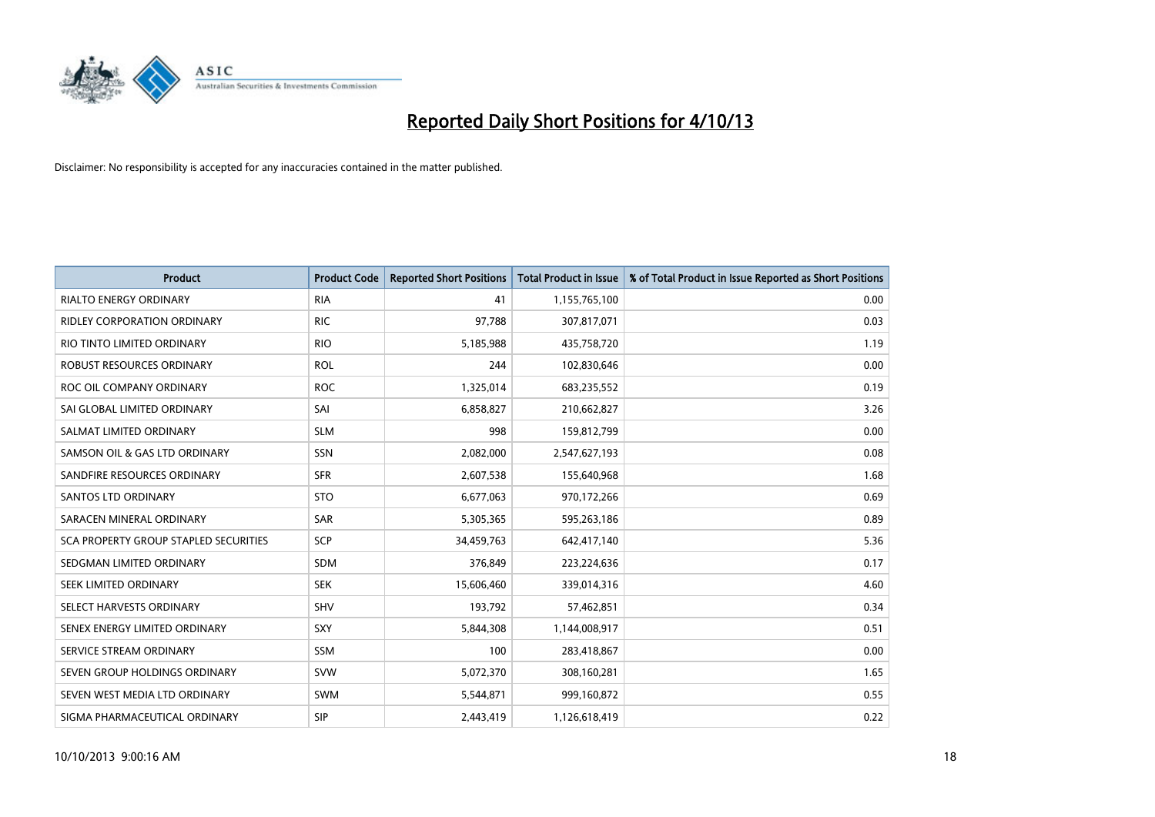

| <b>Product</b>                        | <b>Product Code</b> | <b>Reported Short Positions</b> | <b>Total Product in Issue</b> | % of Total Product in Issue Reported as Short Positions |
|---------------------------------------|---------------------|---------------------------------|-------------------------------|---------------------------------------------------------|
| <b>RIALTO ENERGY ORDINARY</b>         | <b>RIA</b>          | 41                              | 1,155,765,100                 | 0.00                                                    |
| RIDLEY CORPORATION ORDINARY           | <b>RIC</b>          | 97,788                          | 307,817,071                   | 0.03                                                    |
| RIO TINTO LIMITED ORDINARY            | <b>RIO</b>          | 5,185,988                       | 435,758,720                   | 1.19                                                    |
| ROBUST RESOURCES ORDINARY             | <b>ROL</b>          | 244                             | 102,830,646                   | 0.00                                                    |
| ROC OIL COMPANY ORDINARY              | <b>ROC</b>          | 1,325,014                       | 683,235,552                   | 0.19                                                    |
| SAI GLOBAL LIMITED ORDINARY           | SAI                 | 6,858,827                       | 210,662,827                   | 3.26                                                    |
| SALMAT LIMITED ORDINARY               | <b>SLM</b>          | 998                             | 159,812,799                   | 0.00                                                    |
| SAMSON OIL & GAS LTD ORDINARY         | SSN                 | 2,082,000                       | 2,547,627,193                 | 0.08                                                    |
| SANDFIRE RESOURCES ORDINARY           | <b>SFR</b>          | 2,607,538                       | 155,640,968                   | 1.68                                                    |
| <b>SANTOS LTD ORDINARY</b>            | <b>STO</b>          | 6,677,063                       | 970,172,266                   | 0.69                                                    |
| SARACEN MINERAL ORDINARY              | SAR                 | 5,305,365                       | 595,263,186                   | 0.89                                                    |
| SCA PROPERTY GROUP STAPLED SECURITIES | <b>SCP</b>          | 34,459,763                      | 642,417,140                   | 5.36                                                    |
| SEDGMAN LIMITED ORDINARY              | SDM                 | 376,849                         | 223,224,636                   | 0.17                                                    |
| SEEK LIMITED ORDINARY                 | <b>SEK</b>          | 15,606,460                      | 339,014,316                   | 4.60                                                    |
| SELECT HARVESTS ORDINARY              | SHV                 | 193,792                         | 57,462,851                    | 0.34                                                    |
| SENEX ENERGY LIMITED ORDINARY         | <b>SXY</b>          | 5,844,308                       | 1,144,008,917                 | 0.51                                                    |
| SERVICE STREAM ORDINARY               | <b>SSM</b>          | 100                             | 283,418,867                   | 0.00                                                    |
| SEVEN GROUP HOLDINGS ORDINARY         | <b>SVW</b>          | 5,072,370                       | 308,160,281                   | 1.65                                                    |
| SEVEN WEST MEDIA LTD ORDINARY         | SWM                 | 5,544,871                       | 999,160,872                   | 0.55                                                    |
| SIGMA PHARMACEUTICAL ORDINARY         | <b>SIP</b>          | 2,443,419                       | 1,126,618,419                 | 0.22                                                    |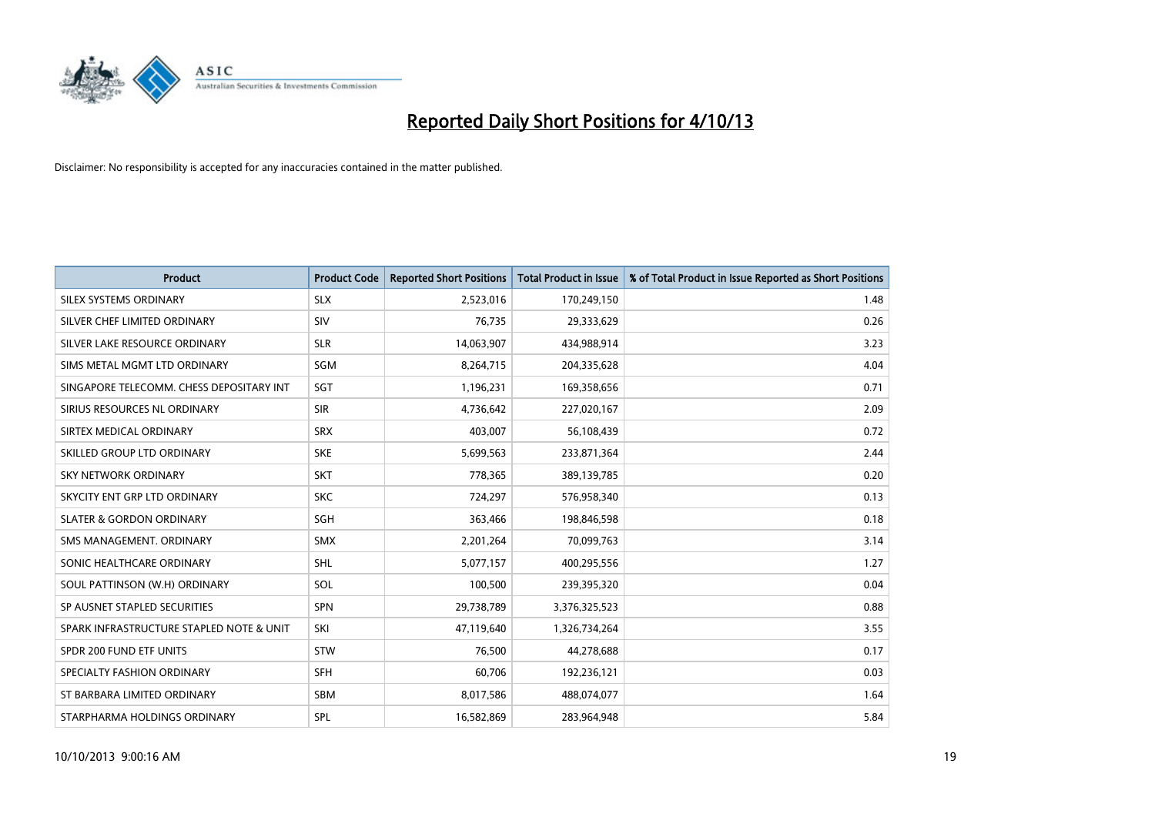

| <b>Product</b>                           | <b>Product Code</b> | <b>Reported Short Positions</b> | <b>Total Product in Issue</b> | % of Total Product in Issue Reported as Short Positions |
|------------------------------------------|---------------------|---------------------------------|-------------------------------|---------------------------------------------------------|
| SILEX SYSTEMS ORDINARY                   | <b>SLX</b>          | 2,523,016                       | 170,249,150                   | 1.48                                                    |
| SILVER CHEF LIMITED ORDINARY             | <b>SIV</b>          | 76,735                          | 29,333,629                    | 0.26                                                    |
| SILVER LAKE RESOURCE ORDINARY            | <b>SLR</b>          | 14,063,907                      | 434,988,914                   | 3.23                                                    |
| SIMS METAL MGMT LTD ORDINARY             | <b>SGM</b>          | 8,264,715                       | 204,335,628                   | 4.04                                                    |
| SINGAPORE TELECOMM. CHESS DEPOSITARY INT | SGT                 | 1,196,231                       | 169,358,656                   | 0.71                                                    |
| SIRIUS RESOURCES NL ORDINARY             | <b>SIR</b>          | 4,736,642                       | 227,020,167                   | 2.09                                                    |
| SIRTEX MEDICAL ORDINARY                  | <b>SRX</b>          | 403,007                         | 56,108,439                    | 0.72                                                    |
| SKILLED GROUP LTD ORDINARY               | <b>SKE</b>          | 5,699,563                       | 233,871,364                   | 2.44                                                    |
| <b>SKY NETWORK ORDINARY</b>              | <b>SKT</b>          | 778,365                         | 389,139,785                   | 0.20                                                    |
| SKYCITY ENT GRP LTD ORDINARY             | <b>SKC</b>          | 724,297                         | 576,958,340                   | 0.13                                                    |
| <b>SLATER &amp; GORDON ORDINARY</b>      | SGH                 | 363,466                         | 198,846,598                   | 0.18                                                    |
| SMS MANAGEMENT, ORDINARY                 | <b>SMX</b>          | 2,201,264                       | 70,099,763                    | 3.14                                                    |
| SONIC HEALTHCARE ORDINARY                | <b>SHL</b>          | 5,077,157                       | 400,295,556                   | 1.27                                                    |
| SOUL PATTINSON (W.H) ORDINARY            | SOL                 | 100,500                         | 239,395,320                   | 0.04                                                    |
| SP AUSNET STAPLED SECURITIES             | <b>SPN</b>          | 29,738,789                      | 3,376,325,523                 | 0.88                                                    |
| SPARK INFRASTRUCTURE STAPLED NOTE & UNIT | SKI                 | 47,119,640                      | 1,326,734,264                 | 3.55                                                    |
| SPDR 200 FUND ETF UNITS                  | <b>STW</b>          | 76,500                          | 44,278,688                    | 0.17                                                    |
| SPECIALTY FASHION ORDINARY               | <b>SFH</b>          | 60,706                          | 192,236,121                   | 0.03                                                    |
| ST BARBARA LIMITED ORDINARY              | <b>SBM</b>          | 8,017,586                       | 488,074,077                   | 1.64                                                    |
| STARPHARMA HOLDINGS ORDINARY             | SPL                 | 16,582,869                      | 283,964,948                   | 5.84                                                    |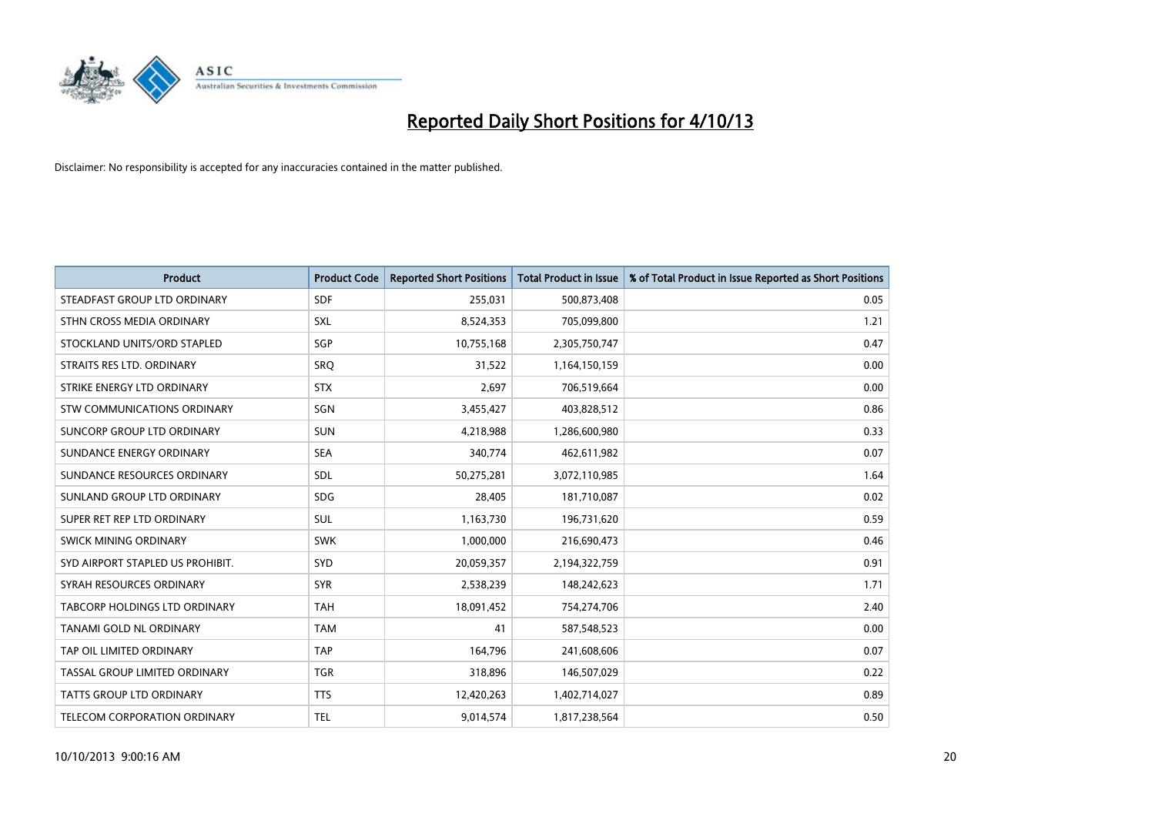

| <b>Product</b>                    | <b>Product Code</b> | <b>Reported Short Positions</b> | <b>Total Product in Issue</b> | % of Total Product in Issue Reported as Short Positions |
|-----------------------------------|---------------------|---------------------------------|-------------------------------|---------------------------------------------------------|
| STEADFAST GROUP LTD ORDINARY      | <b>SDF</b>          | 255,031                         | 500,873,408                   | 0.05                                                    |
| STHN CROSS MEDIA ORDINARY         | <b>SXL</b>          | 8,524,353                       | 705,099,800                   | 1.21                                                    |
| STOCKLAND UNITS/ORD STAPLED       | SGP                 | 10,755,168                      | 2,305,750,747                 | 0.47                                                    |
| STRAITS RES LTD. ORDINARY         | <b>SRQ</b>          | 31,522                          | 1,164,150,159                 | 0.00                                                    |
| STRIKE ENERGY LTD ORDINARY        | <b>STX</b>          | 2,697                           | 706,519,664                   | 0.00                                                    |
| STW COMMUNICATIONS ORDINARY       | SGN                 | 3,455,427                       | 403,828,512                   | 0.86                                                    |
| <b>SUNCORP GROUP LTD ORDINARY</b> | <b>SUN</b>          | 4,218,988                       | 1,286,600,980                 | 0.33                                                    |
| SUNDANCE ENERGY ORDINARY          | <b>SEA</b>          | 340,774                         | 462,611,982                   | 0.07                                                    |
| SUNDANCE RESOURCES ORDINARY       | <b>SDL</b>          | 50,275,281                      | 3,072,110,985                 | 1.64                                                    |
| SUNLAND GROUP LTD ORDINARY        | <b>SDG</b>          | 28,405                          | 181,710,087                   | 0.02                                                    |
| SUPER RET REP LTD ORDINARY        | <b>SUL</b>          | 1,163,730                       | 196,731,620                   | 0.59                                                    |
| <b>SWICK MINING ORDINARY</b>      | <b>SWK</b>          | 1,000,000                       | 216,690,473                   | 0.46                                                    |
| SYD AIRPORT STAPLED US PROHIBIT.  | <b>SYD</b>          | 20,059,357                      | 2,194,322,759                 | 0.91                                                    |
| SYRAH RESOURCES ORDINARY          | <b>SYR</b>          | 2,538,239                       | 148,242,623                   | 1.71                                                    |
| TABCORP HOLDINGS LTD ORDINARY     | <b>TAH</b>          | 18,091,452                      | 754,274,706                   | 2.40                                                    |
| TANAMI GOLD NL ORDINARY           | <b>TAM</b>          | 41                              | 587,548,523                   | 0.00                                                    |
| TAP OIL LIMITED ORDINARY          | <b>TAP</b>          | 164,796                         | 241,608,606                   | 0.07                                                    |
| TASSAL GROUP LIMITED ORDINARY     | <b>TGR</b>          | 318,896                         | 146,507,029                   | 0.22                                                    |
| <b>TATTS GROUP LTD ORDINARY</b>   | <b>TTS</b>          | 12,420,263                      | 1,402,714,027                 | 0.89                                                    |
| TELECOM CORPORATION ORDINARY      | <b>TEL</b>          | 9,014,574                       | 1,817,238,564                 | 0.50                                                    |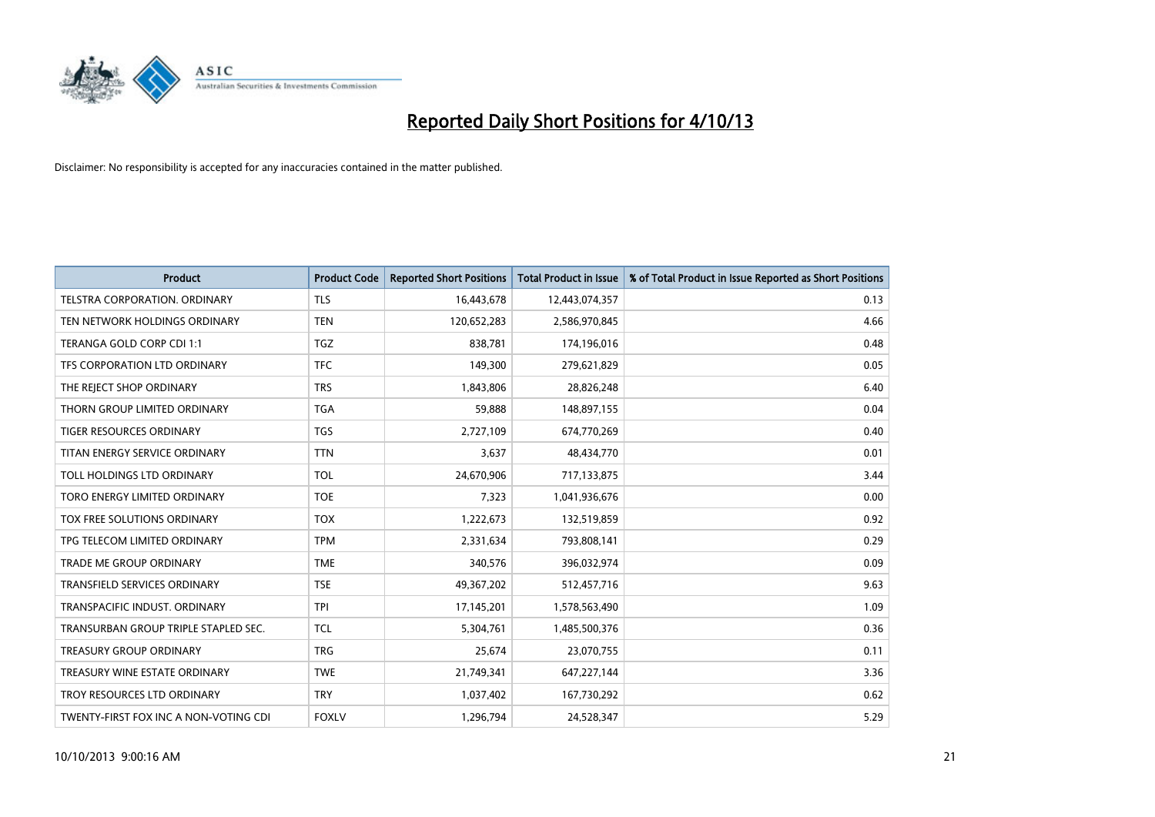

| <b>Product</b>                        | <b>Product Code</b> | <b>Reported Short Positions</b> | <b>Total Product in Issue</b> | % of Total Product in Issue Reported as Short Positions |
|---------------------------------------|---------------------|---------------------------------|-------------------------------|---------------------------------------------------------|
| <b>TELSTRA CORPORATION, ORDINARY</b>  | <b>TLS</b>          | 16,443,678                      | 12,443,074,357                | 0.13                                                    |
| TEN NETWORK HOLDINGS ORDINARY         | <b>TEN</b>          | 120,652,283                     | 2,586,970,845                 | 4.66                                                    |
| TERANGA GOLD CORP CDI 1:1             | <b>TGZ</b>          | 838,781                         | 174,196,016                   | 0.48                                                    |
| TFS CORPORATION LTD ORDINARY          | <b>TFC</b>          | 149,300                         | 279,621,829                   | 0.05                                                    |
| THE REJECT SHOP ORDINARY              | <b>TRS</b>          | 1,843,806                       | 28,826,248                    | 6.40                                                    |
| THORN GROUP LIMITED ORDINARY          | <b>TGA</b>          | 59,888                          | 148,897,155                   | 0.04                                                    |
| TIGER RESOURCES ORDINARY              | <b>TGS</b>          | 2,727,109                       | 674,770,269                   | 0.40                                                    |
| TITAN ENERGY SERVICE ORDINARY         | <b>TTN</b>          | 3,637                           | 48,434,770                    | 0.01                                                    |
| TOLL HOLDINGS LTD ORDINARY            | <b>TOL</b>          | 24,670,906                      | 717,133,875                   | 3.44                                                    |
| TORO ENERGY LIMITED ORDINARY          | <b>TOE</b>          | 7,323                           | 1,041,936,676                 | 0.00                                                    |
| TOX FREE SOLUTIONS ORDINARY           | <b>TOX</b>          | 1,222,673                       | 132,519,859                   | 0.92                                                    |
| TPG TELECOM LIMITED ORDINARY          | <b>TPM</b>          | 2,331,634                       | 793,808,141                   | 0.29                                                    |
| <b>TRADE ME GROUP ORDINARY</b>        | <b>TME</b>          | 340,576                         | 396,032,974                   | 0.09                                                    |
| <b>TRANSFIELD SERVICES ORDINARY</b>   | <b>TSE</b>          | 49,367,202                      | 512,457,716                   | 9.63                                                    |
| TRANSPACIFIC INDUST, ORDINARY         | <b>TPI</b>          | 17,145,201                      | 1,578,563,490                 | 1.09                                                    |
| TRANSURBAN GROUP TRIPLE STAPLED SEC.  | <b>TCL</b>          | 5,304,761                       | 1,485,500,376                 | 0.36                                                    |
| <b>TREASURY GROUP ORDINARY</b>        | <b>TRG</b>          | 25,674                          | 23,070,755                    | 0.11                                                    |
| TREASURY WINE ESTATE ORDINARY         | <b>TWE</b>          | 21,749,341                      | 647,227,144                   | 3.36                                                    |
| TROY RESOURCES LTD ORDINARY           | <b>TRY</b>          | 1,037,402                       | 167,730,292                   | 0.62                                                    |
| TWENTY-FIRST FOX INC A NON-VOTING CDI | <b>FOXLV</b>        | 1,296,794                       | 24,528,347                    | 5.29                                                    |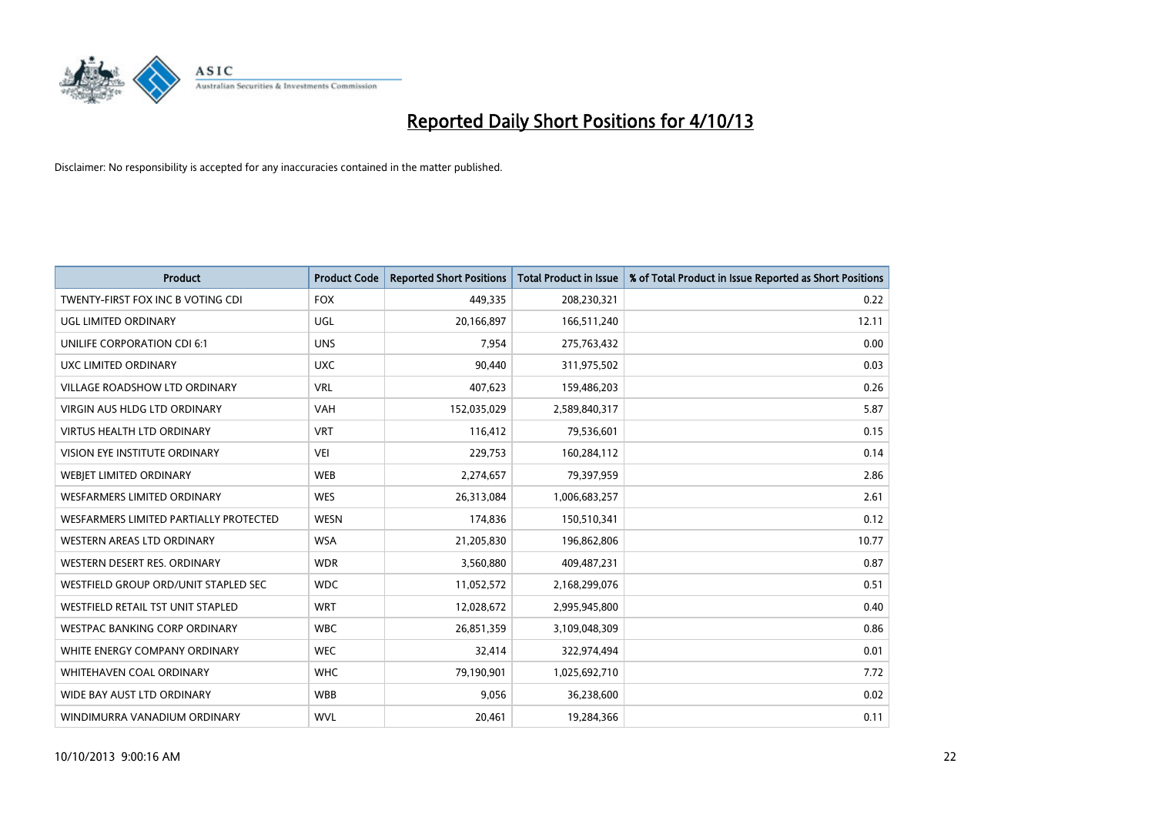

| <b>Product</b>                         | <b>Product Code</b> | <b>Reported Short Positions</b> | <b>Total Product in Issue</b> | % of Total Product in Issue Reported as Short Positions |
|----------------------------------------|---------------------|---------------------------------|-------------------------------|---------------------------------------------------------|
| TWENTY-FIRST FOX INC B VOTING CDI      | <b>FOX</b>          | 449,335                         | 208,230,321                   | 0.22                                                    |
| UGL LIMITED ORDINARY                   | UGL                 | 20,166,897                      | 166,511,240                   | 12.11                                                   |
| UNILIFE CORPORATION CDI 6:1            | <b>UNS</b>          | 7,954                           | 275,763,432                   | 0.00                                                    |
| UXC LIMITED ORDINARY                   | <b>UXC</b>          | 90,440                          | 311,975,502                   | 0.03                                                    |
| <b>VILLAGE ROADSHOW LTD ORDINARY</b>   | <b>VRL</b>          | 407,623                         | 159,486,203                   | 0.26                                                    |
| <b>VIRGIN AUS HLDG LTD ORDINARY</b>    | <b>VAH</b>          | 152,035,029                     | 2,589,840,317                 | 5.87                                                    |
| <b>VIRTUS HEALTH LTD ORDINARY</b>      | <b>VRT</b>          | 116,412                         | 79,536,601                    | 0.15                                                    |
| VISION EYE INSTITUTE ORDINARY          | <b>VEI</b>          | 229,753                         | 160,284,112                   | 0.14                                                    |
| WEBJET LIMITED ORDINARY                | <b>WEB</b>          | 2,274,657                       | 79,397,959                    | 2.86                                                    |
| <b>WESFARMERS LIMITED ORDINARY</b>     | <b>WES</b>          | 26,313,084                      | 1,006,683,257                 | 2.61                                                    |
| WESFARMERS LIMITED PARTIALLY PROTECTED | <b>WESN</b>         | 174,836                         | 150,510,341                   | 0.12                                                    |
| <b>WESTERN AREAS LTD ORDINARY</b>      | <b>WSA</b>          | 21,205,830                      | 196,862,806                   | 10.77                                                   |
| WESTERN DESERT RES. ORDINARY           | <b>WDR</b>          | 3,560,880                       | 409,487,231                   | 0.87                                                    |
| WESTFIELD GROUP ORD/UNIT STAPLED SEC   | <b>WDC</b>          | 11,052,572                      | 2,168,299,076                 | 0.51                                                    |
| WESTFIELD RETAIL TST UNIT STAPLED      | <b>WRT</b>          | 12,028,672                      | 2,995,945,800                 | 0.40                                                    |
| <b>WESTPAC BANKING CORP ORDINARY</b>   | <b>WBC</b>          | 26,851,359                      | 3,109,048,309                 | 0.86                                                    |
| WHITE ENERGY COMPANY ORDINARY          | <b>WEC</b>          | 32,414                          | 322,974,494                   | 0.01                                                    |
| WHITEHAVEN COAL ORDINARY               | <b>WHC</b>          | 79,190,901                      | 1,025,692,710                 | 7.72                                                    |
| WIDE BAY AUST LTD ORDINARY             | <b>WBB</b>          | 9,056                           | 36,238,600                    | 0.02                                                    |
| WINDIMURRA VANADIUM ORDINARY           | <b>WVL</b>          | 20,461                          | 19,284,366                    | 0.11                                                    |